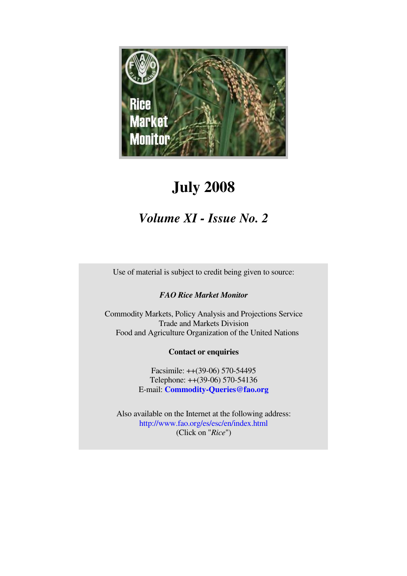

# **July 2008**

## *Volume XI - Issue No. 2*

Use of material is subject to credit being given to source:

### *FAO Rice Market Monitor*

Commodity Markets, Policy Analysis and Projections Service Trade and Markets Division Food and Agriculture Organization of the United Nations

### **Contact or enquiries**

Facsimile: ++(39-06) 570-54495 Telephone: ++(39-06) 570-54136 E-mail: **Commodity-Queries@fao.org**

Also available on the Internet at the following address: http://www.fao.org/es/esc/en/index.html (Click on "*Rice*")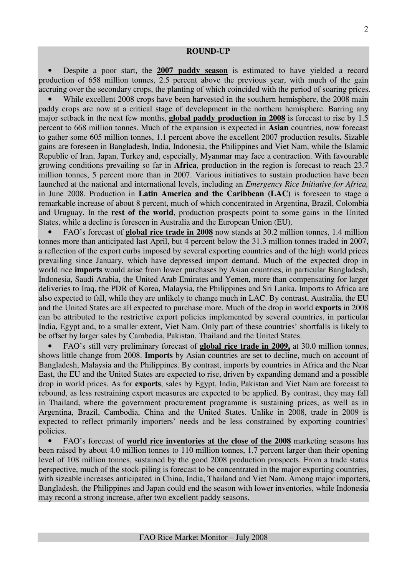• Despite a poor start, the **2007 paddy season** is estimated to have yielded a record production of 658 million tonnes, 2.5 percent above the previous year, with much of the gain accruing over the secondary crops, the planting of which coincided with the period of soaring prices.

While excellent 2008 crops have been harvested in the southern hemisphere, the 2008 main paddy crops are now at a critical stage of development in the northern hemisphere. Barring any major setback in the next few months, **global paddy production in 2008** is forecast to rise by 1.5 percent to 668 million tonnes. Much of the expansion is expected in **Asian** countries, now forecast to gather some 605 million tonnes, 1.1 percent above the excellent 2007 production results**.** Sizable gains are foreseen in Bangladesh, India, Indonesia, the Philippines and Viet Nam, while the Islamic Republic of Iran, Japan, Turkey and, especially, Myanmar may face a contraction. With favourable growing conditions prevailing so far in **Africa**, production in the region is forecast to reach 23.7 million tonnes, 5 percent more than in 2007. Various initiatives to sustain production have been launched at the national and international levels, including an *Emergency Rice Initiative for Africa,* in June 2008. Production in **Latin America and the Caribbean (LAC)** is foreseen to stage a remarkable increase of about 8 percent, much of which concentrated in Argentina, Brazil, Colombia and Uruguay. In the **rest of the world**, production prospects point to some gains in the United States, while a decline is foreseen in Australia and the European Union (EU).

• FAO's forecast of **global rice trade in 2008** now stands at 30.2 million tonnes, 1.4 million tonnes more than anticipated last April, but 4 percent below the 31.3 million tonnes traded in 2007, a reflection of the export curbs imposed by several exporting countries and of the high world prices prevailing since January, which have depressed import demand. Much of the expected drop in world rice **imports** would arise from lower purchases by Asian countries, in particular Bangladesh, Indonesia, Saudi Arabia, the United Arab Emirates and Yemen, more than compensating for larger deliveries to Iraq, the PDR of Korea, Malaysia, the Philippines and Sri Lanka. Imports to Africa are also expected to fall, while they are unlikely to change much in LAC. By contrast, Australia, the EU and the United States are all expected to purchase more. Much of the drop in world **exports** in 2008 can be attributed to the restrictive export policies implemented by several countries, in particular India, Egypt and, to a smaller extent, Viet Nam. Only part of these countries' shortfalls is likely to be offset by larger sales by Cambodia, Pakistan, Thailand and the United States.

• FAO's still very preliminary forecast of **global rice trade in 2009,** at 30.0 million tonnes, shows little change from 2008. **Imports** by Asian countries are set to decline, much on account of Bangladesh, Malaysia and the Philippines. By contrast, imports by countries in Africa and the Near East, the EU and the United States are expected to rise, driven by expanding demand and a possible drop in world prices. As for **exports**, sales by Egypt, India, Pakistan and Viet Nam are forecast to rebound, as less restraining export measures are expected to be applied. By contrast, they may fall in Thailand, where the government procurement programme is sustaining prices, as well as in Argentina, Brazil, Cambodia, China and the United States. Unlike in 2008, trade in 2009 is expected to reflect primarily importers' needs and be less constrained by exporting countries' policies.

• FAO's forecast of **world rice inventories at the close of the 2008** marketing seasons has been raised by about 4.0 million tonnes to 110 million tonnes, 1.7 percent larger than their opening level of 108 million tonnes, sustained by the good 2008 production prospects. From a trade status perspective, much of the stock-piling is forecast to be concentrated in the major exporting countries, with sizeable increases anticipated in China, India, Thailand and Viet Nam. Among major importers, Bangladesh, the Philippines and Japan could end the season with lower inventories, while Indonesia may record a strong increase, after two excellent paddy seasons.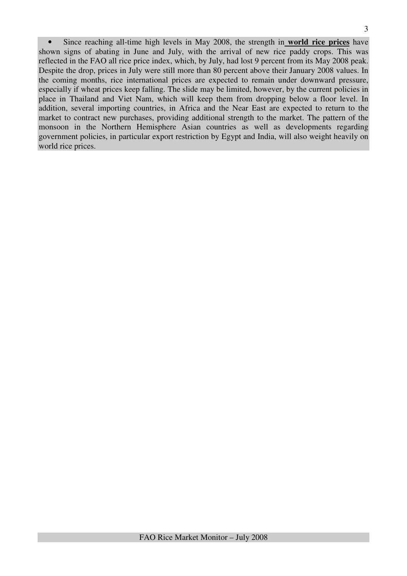• Since reaching all-time high levels in May 2008, the strength in **world rice prices** have shown signs of abating in June and July, with the arrival of new rice paddy crops. This was reflected in the FAO all rice price index, which, by July, had lost 9 percent from its May 2008 peak. Despite the drop, prices in July were still more than 80 percent above their January 2008 values. In the coming months, rice international prices are expected to remain under downward pressure, especially if wheat prices keep falling. The slide may be limited, however, by the current policies in place in Thailand and Viet Nam, which will keep them from dropping below a floor level. In addition, several importing countries, in Africa and the Near East are expected to return to the market to contract new purchases, providing additional strength to the market. The pattern of the monsoon in the Northern Hemisphere Asian countries as well as developments regarding government policies, in particular export restriction by Egypt and India, will also weight heavily on world rice prices.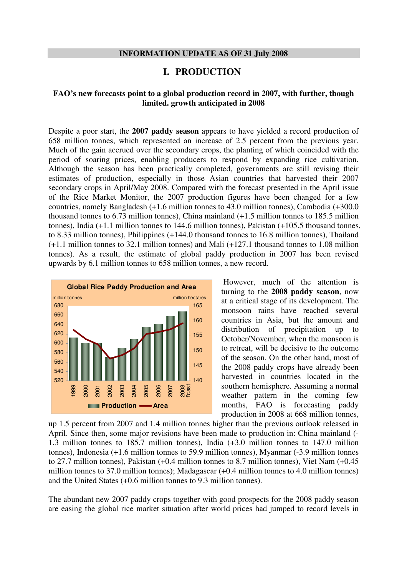#### **INFORMATION UPDATE AS OF 31 July 2008**

### **I. PRODUCTION**

### **FAO's new forecasts point to a global production record in 2007, with further, though limited. growth anticipated in 2008**

Despite a poor start, the **2007 paddy season** appears to have yielded a record production of 658 million tonnes, which represented an increase of 2.5 percent from the previous year. Much of the gain accrued over the secondary crops, the planting of which coincided with the period of soaring prices, enabling producers to respond by expanding rice cultivation. Although the season has been practically completed, governments are still revising their estimates of production, especially in those Asian countries that harvested their 2007 secondary crops in April/May 2008. Compared with the forecast presented in the April issue of the Rice Market Monitor, the 2007 production figures have been changed for a few countries, namely Bangladesh (+1.6 million tonnes to 43.0 million tonnes), Cambodia (+300.0 thousand tonnes to 6.73 million tonnes), China mainland (+1.5 million tonnes to 185.5 million tonnes), India (+1.1 million tonnes to 144.6 million tonnes), Pakistan (+105.5 thousand tonnes, to 8.33 million tonnes), Philippines (+144.0 thousand tonnes to 16.8 million tonnes), Thailand (+1.1 million tonnes to 32.1 million tonnes) and Mali (+127.1 thousand tonnes to 1.08 million tonnes). As a result, the estimate of global paddy production in 2007 has been revised upwards by 6.1 million tonnes to 658 million tonnes, a new record.



 However, much of the attention is turning to the **2008 paddy season**, now at a critical stage of its development. The monsoon rains have reached several countries in Asia, but the amount and distribution of precipitation up to October/November, when the monsoon is to retreat, will be decisive to the outcome of the season. On the other hand, most of the 2008 paddy crops have already been harvested in countries located in the southern hemisphere. Assuming a normal weather pattern in the coming few months, FAO is forecasting paddy production in 2008 at 668 million tonnes,

up 1.5 percent from 2007 and 1.4 million tonnes higher than the previous outlook released in April. Since then, some major revisions have been made to production in: China mainland (- 1.3 million tonnes to 185.7 million tonnes), India (+3.0 million tonnes to 147.0 million tonnes), Indonesia (+1.6 million tonnes to 59.9 million tonnes), Myanmar (-3.9 million tonnes to 27.7 million tonnes), Pakistan (+0.4 million tonnes to 8.7 million tonnes), Viet Nam (+0.45 million tonnes to 37.0 million tonnes); Madagascar (+0.4 million tonnes to 4.0 million tonnes) and the United States (+0.6 million tonnes to 9.3 million tonnes).

The abundant new 2007 paddy crops together with good prospects for the 2008 paddy season are easing the global rice market situation after world prices had jumped to record levels in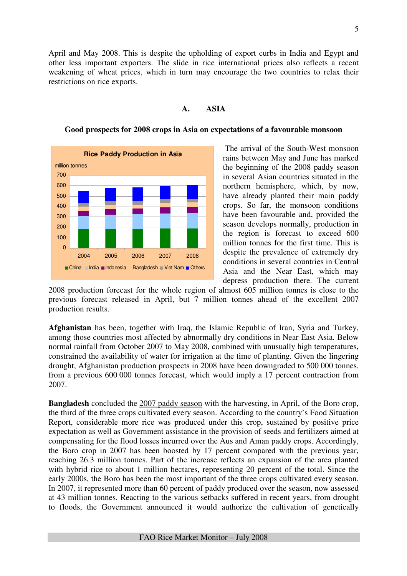5

April and May 2008. This is despite the upholding of export curbs in India and Egypt and other less important exporters. The slide in rice international prices also reflects a recent weakening of wheat prices, which in turn may encourage the two countries to relax their restrictions on rice exports.

### **A. ASIA**



#### **Good prospects for 2008 crops in Asia on expectations of a favourable monsoon**

 The arrival of the South-West monsoon rains between May and June has marked the beginning of the 2008 paddy season in several Asian countries situated in the northern hemisphere, which, by now, have already planted their main paddy crops. So far, the monsoon conditions have been favourable and, provided the season develops normally, production in the region is forecast to exceed 600 million tonnes for the first time. This is despite the prevalence of extremely dry conditions in several countries in Central Asia and the Near East, which may depress production there. The current

2008 production forecast for the whole region of almost 605 million tonnes is close to the previous forecast released in April, but 7 million tonnes ahead of the excellent 2007 production results.

**Afghanistan** has been, together with Iraq, the Islamic Republic of Iran, Syria and Turkey, among those countries most affected by abnormally dry conditions in Near East Asia. Below normal rainfall from October 2007 to May 2008, combined with unusually high temperatures, constrained the availability of water for irrigation at the time of planting. Given the lingering drought, Afghanistan production prospects in 2008 have been downgraded to 500 000 tonnes, from a previous 600 000 tonnes forecast, which would imply a 17 percent contraction from 2007.

**Bangladesh** concluded the 2007 paddy season with the harvesting, in April, of the Boro crop, the third of the three crops cultivated every season. According to the country's Food Situation Report, considerable more rice was produced under this crop, sustained by positive price expectation as well as Government assistance in the provision of seeds and fertilizers aimed at compensating for the flood losses incurred over the Aus and Aman paddy crops. Accordingly, the Boro crop in 2007 has been boosted by 17 percent compared with the previous year, reaching 26.3 million tonnes. Part of the increase reflects an expansion of the area planted with hybrid rice to about 1 million hectares, representing 20 percent of the total. Since the early 2000s, the Boro has been the most important of the three crops cultivated every season. In 2007, it represented more than 60 percent of paddy produced over the season, now assessed at 43 million tonnes. Reacting to the various setbacks suffered in recent years, from drought to floods, the Government announced it would authorize the cultivation of genetically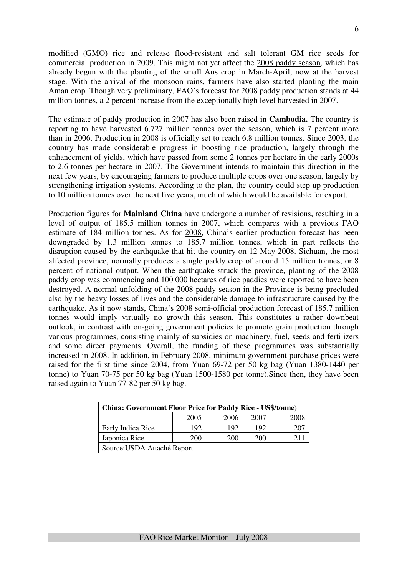modified (GMO) rice and release flood-resistant and salt tolerant GM rice seeds for commercial production in 2009. This might not yet affect the 2008 paddy season, which has already begun with the planting of the small Aus crop in March-April, now at the harvest stage. With the arrival of the monsoon rains, farmers have also started planting the main Aman crop. Though very preliminary, FAO's forecast for 2008 paddy production stands at 44 million tonnes, a 2 percent increase from the exceptionally high level harvested in 2007.

The estimate of paddy production in 2007 has also been raised in **Cambodia.** The country is reporting to have harvested 6.727 million tonnes over the season, which is 7 percent more than in 2006. Production in 2008 is officially set to reach 6.8 million tonnes. Since 2003, the country has made considerable progress in boosting rice production, largely through the enhancement of yields, which have passed from some 2 tonnes per hectare in the early 2000s to 2.6 tonnes per hectare in 2007. The Government intends to maintain this direction in the next few years, by encouraging farmers to produce multiple crops over one season, largely by strengthening irrigation systems. According to the plan, the country could step up production to 10 million tonnes over the next five years, much of which would be available for export.

Production figures for **Mainland China** have undergone a number of revisions, resulting in a level of output of 185.5 million tonnes in 2007, which compares with a previous FAO estimate of 184 million tonnes. As for 2008, China's earlier production forecast has been downgraded by 1.3 million tonnes to 185.7 million tonnes, which in part reflects the disruption caused by the earthquake that hit the country on 12 May 2008. Sichuan, the most affected province, normally produces a single paddy crop of around 15 million tonnes, or 8 percent of national output. When the earthquake struck the province, planting of the 2008 paddy crop was commencing and 100 000 hectares of rice paddies were reported to have been destroyed. A normal unfolding of the 2008 paddy season in the Province is being precluded also by the heavy losses of lives and the considerable damage to infrastructure caused by the earthquake. As it now stands, China's 2008 semi-official production forecast of 185.7 million tonnes would imply virtually no growth this season. This constitutes a rather downbeat outlook, in contrast with on-going government policies to promote grain production through various programmes, consisting mainly of subsidies on machinery, fuel, seeds and fertilizers and some direct payments. Overall, the funding of these programmes was substantially increased in 2008. In addition, in February 2008, minimum government purchase prices were raised for the first time since 2004, from Yuan 69-72 per 50 kg bag (Yuan 1380-1440 per tonne) to Yuan 70-75 per 50 kg bag (Yuan 1500-1580 per tonne).Since then, they have been raised again to Yuan 77-82 per 50 kg bag.

| <b>China: Government Floor Price for Paddy Rice - US\$/tonne)</b> |                             |      |      |      |  |  |  |  |
|-------------------------------------------------------------------|-----------------------------|------|------|------|--|--|--|--|
|                                                                   | 2005                        | 2006 | 2007 | 2008 |  |  |  |  |
| Early Indica Rice                                                 | 192                         | 192  | 192  |      |  |  |  |  |
| Japonica Rice<br>200<br>200<br>211<br>200                         |                             |      |      |      |  |  |  |  |
|                                                                   | Source: USDA Attaché Report |      |      |      |  |  |  |  |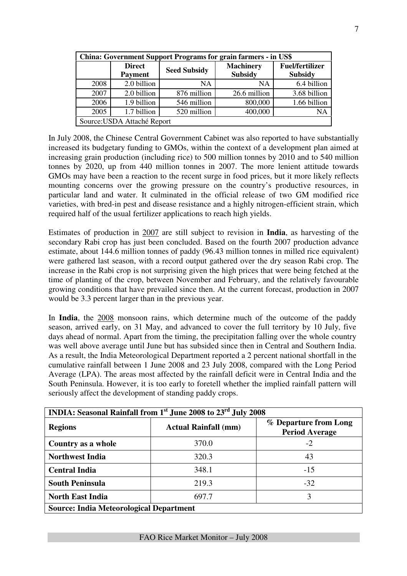| <b>China: Government Support Programs for grain farmers - in US\$</b> |                                 |                     |                                    |                                          |  |  |  |  |  |
|-----------------------------------------------------------------------|---------------------------------|---------------------|------------------------------------|------------------------------------------|--|--|--|--|--|
|                                                                       | <b>Direct</b><br><b>Payment</b> | <b>Seed Subsidy</b> | <b>Machinery</b><br><b>Subsidy</b> | <b>Fuel/fertilizer</b><br><b>Subsidy</b> |  |  |  |  |  |
| 2008                                                                  | 2.0 billion                     | <b>NA</b>           | <b>NA</b>                          | 6.4 billion                              |  |  |  |  |  |
| 2007                                                                  | 2.0 billion                     | 876 million         | 26.6 million                       | 3.68 billion                             |  |  |  |  |  |
| 2006                                                                  | 1.9 billion                     | 546 million         | 800,000                            | 1.66 billion                             |  |  |  |  |  |
| 2005                                                                  | 1.7 billion                     | 520 million         | 400,000                            | NΑ                                       |  |  |  |  |  |
|                                                                       | Source: USDA Attaché Report     |                     |                                    |                                          |  |  |  |  |  |

In July 2008, the Chinese Central Government Cabinet was also reported to have substantially increased its budgetary funding to GMOs, within the context of a development plan aimed at increasing grain production (including rice) to 500 million tonnes by 2010 and to 540 million tonnes by 2020, up from 440 million tonnes in 2007. The more lenient attitude towards GMOs may have been a reaction to the recent surge in food prices, but it more likely reflects mounting concerns over the growing pressure on the country's productive resources, in particular land and water. It culminated in the official release of two GM modified rice varieties, with bred-in pest and disease resistance and a highly nitrogen-efficient strain, which required half of the usual fertilizer applications to reach high yields.

Estimates of production in 2007 are still subject to revision in **India**, as harvesting of the secondary Rabi crop has just been concluded. Based on the fourth 2007 production advance estimate, about 144.6 million tonnes of paddy (96.43 million tonnes in milled rice equivalent) were gathered last season, with a record output gathered over the dry season Rabi crop. The increase in the Rabi crop is not surprising given the high prices that were being fetched at the time of planting of the crop, between November and February, and the relatively favourable growing conditions that have prevailed since then. At the current forecast, production in 2007 would be 3.3 percent larger than in the previous year.

In **India**, the 2008 monsoon rains, which determine much of the outcome of the paddy season, arrived early, on 31 May, and advanced to cover the full territory by 10 July, five days ahead of normal. Apart from the timing, the precipitation falling over the whole country was well above average until June but has subsided since then in Central and Southern India. As a result, the India Meteorological Department reported a 2 percent national shortfall in the cumulative rainfall between 1 June 2008 and 23 July 2008, compared with the Long Period Average (LPA). The areas most affected by the rainfall deficit were in Central India and the South Peninsula. However, it is too early to foretell whether the implied rainfall pattern will seriously affect the development of standing paddy crops.

| INDIA: Seasonal Rainfall from 1 <sup>st</sup> June 2008 to 23 <sup>rd</sup> July 2008 |                             |                                                |  |  |  |  |  |  |
|---------------------------------------------------------------------------------------|-----------------------------|------------------------------------------------|--|--|--|--|--|--|
| <b>Regions</b>                                                                        | <b>Actual Rainfall (mm)</b> | % Departure from Long<br><b>Period Average</b> |  |  |  |  |  |  |
| Country as a whole                                                                    | 370.0                       | $-2$                                           |  |  |  |  |  |  |
| <b>Northwest India</b>                                                                | 320.3                       | 43                                             |  |  |  |  |  |  |
| <b>Central India</b>                                                                  | 348.1                       | $-15$                                          |  |  |  |  |  |  |
| <b>South Peninsula</b>                                                                | 219.3                       | $-32$                                          |  |  |  |  |  |  |
| <b>North East India</b>                                                               | 697.7                       | 3                                              |  |  |  |  |  |  |
| <b>Source: India Meteorological Department</b>                                        |                             |                                                |  |  |  |  |  |  |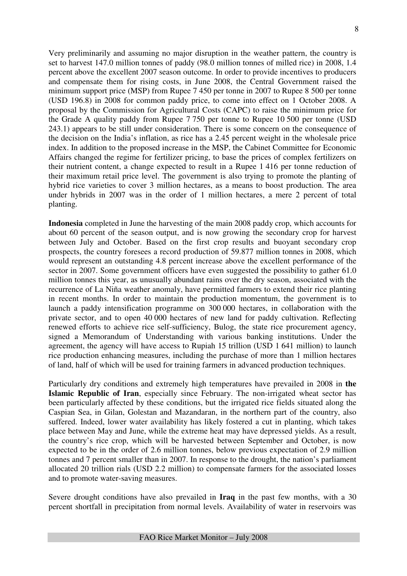Very preliminarily and assuming no major disruption in the weather pattern, the country is set to harvest 147.0 million tonnes of paddy (98.0 million tonnes of milled rice) in 2008, 1.4 percent above the excellent 2007 season outcome. In order to provide incentives to producers and compensate them for rising costs, in June 2008, the Central Government raised the minimum support price (MSP) from Rupee 7 450 per tonne in 2007 to Rupee 8 500 per tonne (USD 196.8) in 2008 for common paddy price, to come into effect on 1 October 2008. A proposal by the Commission for Agricultural Costs (CAPC) to raise the minimum price for the Grade A quality paddy from Rupee 7 750 per tonne to Rupee 10 500 per tonne (USD 243.1) appears to be still under consideration. There is some concern on the consequence of the decision on the India's inflation, as rice has a 2.45 percent weight in the wholesale price index. In addition to the proposed increase in the MSP, the Cabinet Committee for Economic Affairs changed the regime for fertilizer pricing, to base the prices of complex fertilizers on their nutrient content, a change expected to result in a Rupee 1 416 per tonne reduction of their maximum retail price level. The government is also trying to promote the planting of hybrid rice varieties to cover 3 million hectares, as a means to boost production. The area under hybrids in 2007 was in the order of 1 million hectares, a mere 2 percent of total planting.

**Indonesia** completed in June the harvesting of the main 2008 paddy crop, which accounts for about 60 percent of the season output, and is now growing the secondary crop for harvest between July and October. Based on the first crop results and buoyant secondary crop prospects, the country foresees a record production of 59.877 million tonnes in 2008, which would represent an outstanding 4.8 percent increase above the excellent performance of the sector in 2007. Some government officers have even suggested the possibility to gather 61.0 million tonnes this year, as unusually abundant rains over the dry season, associated with the recurrence of La Niña weather anomaly, have permitted farmers to extend their rice planting in recent months. In order to maintain the production momentum, the government is to launch a paddy intensification programme on 300 000 hectares, in collaboration with the private sector, and to open 40 000 hectares of new land for paddy cultivation. Reflecting renewed efforts to achieve rice self-sufficiency, Bulog, the state rice procurement agency, signed a Memorandum of Understanding with various banking institutions. Under the agreement, the agency will have access to Rupiah 15 trillion (USD 1 641 million) to launch rice production enhancing measures, including the purchase of more than 1 million hectares of land, half of which will be used for training farmers in advanced production techniques.

Particularly dry conditions and extremely high temperatures have prevailed in 2008 in **the Islamic Republic of Iran**, especially since February. The non-irrigated wheat sector has been particularly affected by these conditions, but the irrigated rice fields situated along the Caspian Sea, in Gilan, Golestan and Mazandaran, in the northern part of the country, also suffered. Indeed, lower water availability has likely fostered a cut in planting, which takes place between May and June, while the extreme heat may have depressed yields. As a result, the country's rice crop, which will be harvested between September and October, is now expected to be in the order of 2.6 million tonnes, below previous expectation of 2.9 million tonnes and 7 percent smaller than in 2007. In response to the drought, the nation's parliament allocated 20 trillion rials (USD 2.2 million) to compensate farmers for the associated losses and to promote water-saving measures.

Severe drought conditions have also prevailed in **Iraq** in the past few months, with a 30 percent shortfall in precipitation from normal levels. Availability of water in reservoirs was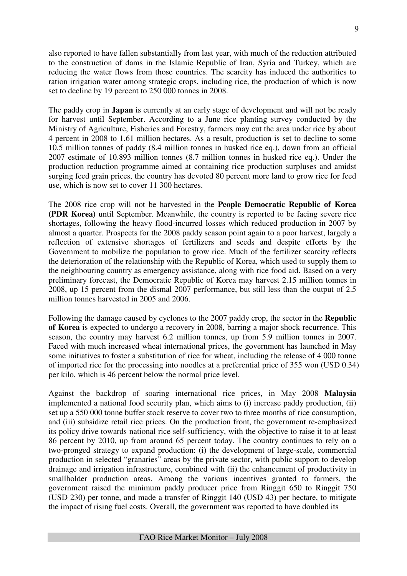also reported to have fallen substantially from last year, with much of the reduction attributed to the construction of dams in the Islamic Republic of Iran, Syria and Turkey, which are reducing the water flows from those countries. The scarcity has induced the authorities to ration irrigation water among strategic crops, including rice, the production of which is now set to decline by 19 percent to 250 000 tonnes in 2008.

The paddy crop in **Japan** is currently at an early stage of development and will not be ready for harvest until September. According to a June rice planting survey conducted by the Ministry of Agriculture, Fisheries and Forestry, farmers may cut the area under rice by about 4 percent in 2008 to 1.61 million hectares. As a result, production is set to decline to some 10.5 million tonnes of paddy (8.4 million tonnes in husked rice eq.), down from an official 2007 estimate of 10.893 million tonnes (8.7 million tonnes in husked rice eq.). Under the production reduction programme aimed at containing rice production surpluses and amidst surging feed grain prices, the country has devoted 80 percent more land to grow rice for feed use, which is now set to cover 11 300 hectares.

The 2008 rice crop will not be harvested in the **People Democratic Republic of Korea (PDR Korea)** until September. Meanwhile, the country is reported to be facing severe rice shortages, following the heavy flood-incurred losses which reduced production in 2007 by almost a quarter. Prospects for the 2008 paddy season point again to a poor harvest, largely a reflection of extensive shortages of fertilizers and seeds and despite efforts by the Government to mobilize the population to grow rice. Much of the fertilizer scarcity reflects the deterioration of the relationship with the Republic of Korea, which used to supply them to the neighbouring country as emergency assistance, along with rice food aid. Based on a very preliminary forecast, the Democratic Republic of Korea may harvest 2.15 million tonnes in 2008, up 15 percent from the dismal 2007 performance, but still less than the output of 2.5 million tonnes harvested in 2005 and 2006.

Following the damage caused by cyclones to the 2007 paddy crop, the sector in the **Republic of Korea** is expected to undergo a recovery in 2008, barring a major shock recurrence. This season, the country may harvest 6.2 million tonnes, up from 5.9 million tonnes in 2007. Faced with much increased wheat international prices, the government has launched in May some initiatives to foster a substitution of rice for wheat, including the release of 4 000 tonne of imported rice for the processing into noodles at a preferential price of 355 won (USD 0.34) per kilo, which is 46 percent below the normal price level.

Against the backdrop of soaring international rice prices, in May 2008 **Malaysia** implemented a national food security plan, which aims to (i) increase paddy production, (ii) set up a 550 000 tonne buffer stock reserve to cover two to three months of rice consumption, and (iii) subsidize retail rice prices. On the production front, the government re-emphasized its policy drive towards national rice self-sufficiency, with the objective to raise it to at least 86 percent by 2010, up from around 65 percent today. The country continues to rely on a two-pronged strategy to expand production: (i) the development of large-scale, commercial production in selected "granaries" areas by the private sector, with public support to develop drainage and irrigation infrastructure, combined with (ii) the enhancement of productivity in smallholder production areas. Among the various incentives granted to farmers, the government raised the minimum paddy producer price from Ringgit 650 to Ringgit 750 (USD 230) per tonne, and made a transfer of Ringgit 140 (USD 43) per hectare, to mitigate the impact of rising fuel costs. Overall, the government was reported to have doubled its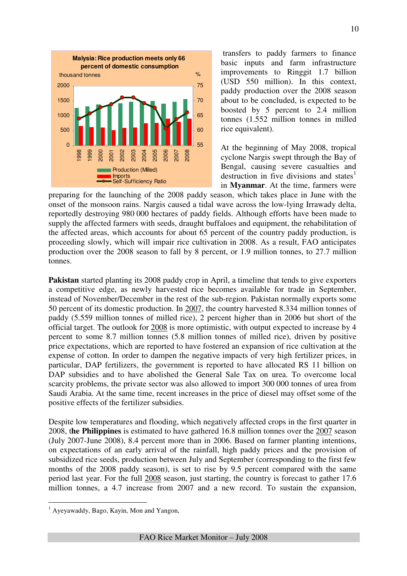

 transfers to paddy farmers to finance basic inputs and farm infrastructure improvements to Ringgit 1.7 billion (USD 550 million). In this context, paddy production over the 2008 season about to be concluded, is expected to be boosted by 5 percent to 2.4 million tonnes (1.552 million tonnes in milled rice equivalent).

At the beginning of May 2008, tropical cyclone Nargis swept through the Bay of Bengal, causing severe casualties and destruction in five divisions and states<sup>1</sup> in **Myanmar**. At the time, farmers were

preparing for the launching of the 2008 paddy season, which takes place in June with the onset of the monsoon rains. Nargis caused a tidal wave across the low-lying Irrawady delta, reportedly destroying 980 000 hectares of paddy fields. Although efforts have been made to supply the affected farmers with seeds, draught buffaloes and equipment, the rehabilitation of the affected areas, which accounts for about 65 percent of the country paddy production, is proceeding slowly, which will impair rice cultivation in 2008. As a result, FAO anticipates production over the 2008 season to fall by 8 percent, or 1.9 million tonnes, to 27.7 million tonnes.

**Pakistan** started planting its 2008 paddy crop in April, a timeline that tends to give exporters a competitive edge, as newly harvested rice becomes available for trade in September, instead of November/December in the rest of the sub-region. Pakistan normally exports some 50 percent of its domestic production. In 2007, the country harvested 8.334 million tonnes of paddy (5.559 million tonnes of milled rice), 2 percent higher than in 2006 but short of the official target. The outlook for 2008 is more optimistic, with output expected to increase by 4 percent to some 8.7 million tonnes (5.8 million tonnes of milled rice), driven by positive price expectations, which are reported to have fostered an expansion of rice cultivation at the expense of cotton. In order to dampen the negative impacts of very high fertilizer prices, in particular, DAP fertilizers, the government is reported to have allocated RS 11 billion on DAP subsidies and to have abolished the General Sale Tax on urea. To overcome local scarcity problems, the private sector was also allowed to import 300 000 tonnes of urea from Saudi Arabia. At the same time, recent increases in the price of diesel may offset some of the positive effects of the fertilizer subsidies.

Despite low temperatures and flooding, which negatively affected crops in the first quarter in 2008, t**he Philippines** is estimated to have gathered 16.8 million tonnes over the 2007 season (July 2007-June 2008), 8.4 percent more than in 2006. Based on farmer planting intentions, on expectations of an early arrival of the rainfall, high paddy prices and the provision of subsidized rice seeds, production between July and September (corresponding to the first few months of the 2008 paddy season), is set to rise by 9.5 percent compared with the same period last year. For the full 2008 season, just starting, the country is forecast to gather 17.6 million tonnes, a 4.7 increase from 2007 and a new record. To sustain the expansion,

 $\overline{a}$ 

<sup>&</sup>lt;sup>1</sup> Ayeyawaddy, Bago, Kayin, Mon and Yangon,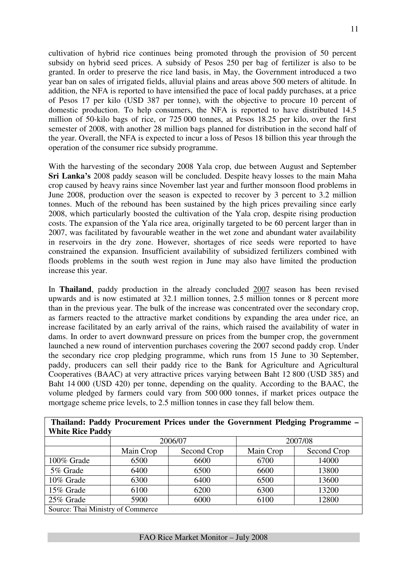cultivation of hybrid rice continues being promoted through the provision of 50 percent subsidy on hybrid seed prices. A subsidy of Pesos 250 per bag of fertilizer is also to be granted. In order to preserve the rice land basis, in May, the Government introduced a two year ban on sales of irrigated fields, alluvial plains and areas above 500 meters of altitude. In addition, the NFA is reported to have intensified the pace of local paddy purchases, at a price of Pesos 17 per kilo (USD 387 per tonne), with the objective to procure 10 percent of domestic production. To help consumers, the NFA is reported to have distributed 14.5 million of 50-kilo bags of rice, or 725 000 tonnes, at Pesos 18.25 per kilo, over the first semester of 2008, with another 28 million bags planned for distribution in the second half of the year. Overall, the NFA is expected to incur a loss of Pesos 18 billion this year through the operation of the consumer rice subsidy programme.

With the harvesting of the secondary 2008 Yala crop, due between August and September **Sri Lanka's** 2008 paddy season will be concluded. Despite heavy losses to the main Maha crop caused by heavy rains since November last year and further monsoon flood problems in June 2008, production over the season is expected to recover by 3 percent to 3.2 million tonnes. Much of the rebound has been sustained by the high prices prevailing since early 2008, which particularly boosted the cultivation of the Yala crop, despite rising production costs. The expansion of the Yala rice area, originally targeted to be 60 percent larger than in 2007, was facilitated by favourable weather in the wet zone and abundant water availability in reservoirs in the dry zone. However, shortages of rice seeds were reported to have constrained the expansion. Insufficient availability of subsidized fertilizers combined with floods problems in the south west region in June may also have limited the production increase this year.

In **Thailand**, paddy production in the already concluded 2007 season has been revised upwards and is now estimated at 32.1 million tonnes, 2.5 million tonnes or 8 percent more than in the previous year. The bulk of the increase was concentrated over the secondary crop, as farmers reacted to the attractive market conditions by expanding the area under rice, an increase facilitated by an early arrival of the rains, which raised the availability of water in dams. In order to avert downward pressure on prices from the bumper crop, the government launched a new round of intervention purchases covering the 2007 second paddy crop. Under the secondary rice crop pledging programme, which runs from 15 June to 30 September, paddy, producers can sell their paddy rice to the Bank for Agriculture and Agricultural Cooperatives (BAAC) at very attractive prices varying between Baht 12 800 (USD 385) and Baht 14 000 (USD 420) per tonne, depending on the quality. According to the BAAC, the volume pledged by farmers could vary from 500 000 tonnes, if market prices outpace the mortgage scheme price levels, to 2.5 million tonnes in case they fall below them.

|                                   |           |             |           | Thanand: Faudy Frocurenient Frices under the Government Fleughly Frogramme – |
|-----------------------------------|-----------|-------------|-----------|------------------------------------------------------------------------------|
| <b>White Rice Paddy</b>           |           |             |           |                                                                              |
|                                   |           | 2006/07     |           | 2007/08                                                                      |
|                                   | Main Crop | Second Crop | Main Crop | Second Crop                                                                  |
| 100% Grade                        | 6500      | 6600        | 6700      | 14000                                                                        |
| 5% Grade                          | 6400      | 6500        | 6600      | 13800                                                                        |
| 10% Grade                         | 6300      | 6400        | 6500      | 13600                                                                        |
| 15% Grade                         | 6100      | 6200        | 6300      | 13200                                                                        |
| 25% Grade                         | 5900      | 6000        | 6100      | 12800                                                                        |
| Source: Thai Ministry of Commerce |           |             |           |                                                                              |

**Thailand: Paddy Procurement Prices under the Government Pledging Programme –** 

#### FAO Rice Market Monitor – July 2008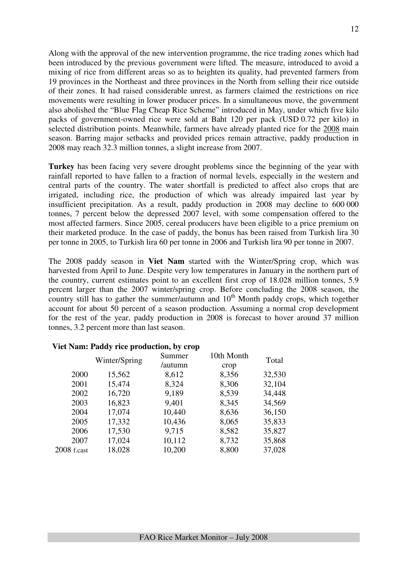Along with the approval of the new intervention programme, the rice trading zones which had been introduced by the previous government were lifted. The measure, introduced to avoid a mixing of rice from different areas so as to heighten its quality, had prevented farmers from 19 provinces in the Northeast and three provinces in the North from selling their rice outside of their zones. It had raised considerable unrest, as farmers claimed the restrictions on rice movements were resulting in lower producer prices. In a simultaneous move, the government also abolished the "Blue Flag Cheap Rice Scheme" introduced in May, under which five kilo packs of government-owned rice were sold at Baht 120 per pack (USD 0.72 per kilo) in selected distribution points. Meanwhile, farmers have already planted rice for the 2008 main season. Barring major setbacks and provided prices remain attractive, paddy production in 2008 may reach 32.3 million tonnes, a slight increase from 2007.

**Turkey** has been facing very severe drought problems since the beginning of the year with rainfall reported to have fallen to a fraction of normal levels, especially in the western and central parts of the country. The water shortfall is predicted to affect also crops that are irrigated, including rice, the production of which was already impaired last year by insufficient precipitation. As a result, paddy production in 2008 may decline to 600 000 tonnes, 7 percent below the depressed 2007 level, with some compensation offered to the most affected farmers. Since 2005, cereal producers have been eligible to a price premium on their marketed produce. In the case of paddy, the bonus has been raised from Turkish lira 30 per tonne in 2005, to Turkish lira 60 per tonne in 2006 and Turkish lira 90 per tonne in 2007.

The 2008 paddy season in **Viet Nam** started with the Winter/Spring crop, which was harvested from April to June. Despite very low temperatures in January in the northern part of the country, current estimates point to an excellent first crop of 18.028 million tonnes, 5.9 percent larger than the 2007 winter/spring crop. Before concluding the 2008 season, the country still has to gather the summer/autumn and  $10<sup>th</sup>$  Month paddy crops, which together account for about 50 percent of a season production. Assuming a normal crop development for the rest of the year, paddy production in 2008 is forecast to hover around 37 million tonnes, 3.2 percent more than last season.

|               | Winter/Spring | Summer  | 10th Month | Total  |
|---------------|---------------|---------|------------|--------|
|               |               | /autumn | crop       |        |
| 2000          | 15,562        | 8,612   | 8,356      | 32,530 |
| 2001          | 15,474        | 8,324   | 8,306      | 32,104 |
| 2002          | 16,720        | 9,189   | 8,539      | 34,448 |
| 2003          | 16,823        | 9,401   | 8,345      | 34,569 |
| 2004          | 17,074        | 10,440  | 8,636      | 36,150 |
| 2005          | 17,332        | 10,436  | 8,065      | 35,833 |
| 2006          | 17,530        | 9,715   | 8,582      | 35,827 |
| 2007          | 17,024        | 10,112  | 8,732      | 35,868 |
| $2008$ f.cast | 18,028        | 10,200  | 8,800      | 37,028 |

### **Viet Nam: Paddy rice production, by crop**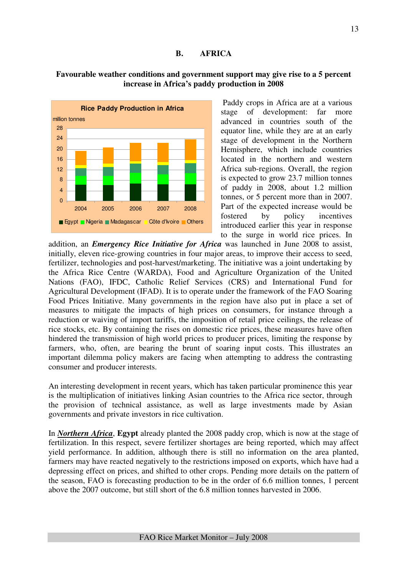### **B. AFRICA**



### **Favourable weather conditions and government support may give rise to a 5 percent increase in Africa's paddy production in 2008**

 Paddy crops in Africa are at a various stage of development: far more advanced in countries south of the equator line, while they are at an early stage of development in the Northern Hemisphere, which include countries located in the northern and western Africa sub-regions. Overall, the region is expected to grow 23.7 million tonnes of paddy in 2008, about 1.2 million tonnes, or 5 percent more than in 2007. Part of the expected increase would be fostered by policy incentives introduced earlier this year in response to the surge in world rice prices. In

addition, an *Emergency Rice Initiative for Africa* was launched in June 2008 to assist, initially, eleven rice-growing countries in four major areas, to improve their access to seed, fertilizer, technologies and post-harvest/marketing. The initiative was a joint undertaking by the Africa Rice Centre (WARDA), Food and Agriculture Organization of the United Nations (FAO), IFDC, Catholic Relief Services (CRS) and International Fund for Agricultural Development (IFAD). It is to operate under the framework of the FAO Soaring Food Prices Initiative. Many governments in the region have also put in place a set of measures to mitigate the impacts of high prices on consumers, for instance through a reduction or waiving of import tariffs, the imposition of retail price ceilings, the release of rice stocks, etc. By containing the rises on domestic rice prices, these measures have often hindered the transmission of high world prices to producer prices, limiting the response by farmers, who, often, are bearing the brunt of soaring input costs. This illustrates an important dilemma policy makers are facing when attempting to address the contrasting consumer and producer interests.

An interesting development in recent years, which has taken particular prominence this year is the multiplication of initiatives linking Asian countries to the Africa rice sector, through the provision of technical assistance, as well as large investments made by Asian governments and private investors in rice cultivation.

In *Northern Africa*, **Egypt** already planted the 2008 paddy crop, which is now at the stage of fertilization. In this respect, severe fertilizer shortages are being reported, which may affect yield performance. In addition, although there is still no information on the area planted, farmers may have reacted negatively to the restrictions imposed on exports, which have had a depressing effect on prices, and shifted to other crops. Pending more details on the pattern of the season, FAO is forecasting production to be in the order of 6.6 million tonnes, 1 percent above the 2007 outcome, but still short of the 6.8 million tonnes harvested in 2006.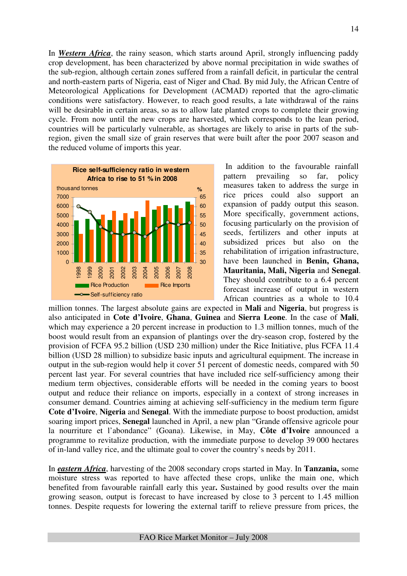In *Western Africa*, the rainy season, which starts around April, strongly influencing paddy crop development, has been characterized by above normal precipitation in wide swathes of the sub-region, although certain zones suffered from a rainfall deficit, in particular the central and north-eastern parts of Nigeria, east of Niger and Chad. By mid July, the African Centre of Meteorological Applications for Development (ACMAD) reported that the agro-climatic conditions were satisfactory. However, to reach good results, a late withdrawal of the rains will be desirable in certain areas, so as to allow late planted crops to complete their growing cycle. From now until the new crops are harvested, which corresponds to the lean period, countries will be particularly vulnerable, as shortages are likely to arise in parts of the subregion, given the small size of grain reserves that were built after the poor 2007 season and the reduced volume of imports this year.



 In addition to the favourable rainfall pattern prevailing so far, policy measures taken to address the surge in rice prices could also support an expansion of paddy output this season. More specifically, government actions, focusing particularly on the provision of seeds, fertilizers and other inputs at subsidized prices but also on the rehabilitation of irrigation infrastructure, have been launched in **Benin, Ghana, Mauritania, Mali, Nigeria** and **Senegal**. They should contribute to a 6.4 percent forecast increase of output in western African countries as a whole to 10.4

million tonnes. The largest absolute gains are expected in **Mali** and **Nigeria**, but progress is also anticipated in **Cote d'Ivoire**, **Ghana**, **Guinea** and **Sierra Leone**. In the case of **Mali**, which may experience a 20 percent increase in production to 1.3 million tonnes, much of the boost would result from an expansion of plantings over the dry-season crop, fostered by the provision of FCFA 95.2 billion (USD 230 million) under the Rice Initiative, plus FCFA 11.4 billion (USD 28 million) to subsidize basic inputs and agricultural equipment. The increase in output in the sub-region would help it cover 51 percent of domestic needs, compared with 50 percent last year. For several countries that have included rice self-sufficiency among their medium term objectives, considerable efforts will be needed in the coming years to boost output and reduce their reliance on imports, especially in a context of strong increases in consumer demand. Countries aiming at achieving self-sufficiency in the medium term figure **Cote d'Ivoire**, **Nigeria** and **Senegal**. With the immediate purpose to boost production, amidst soaring import prices, **Senegal** launched in April, a new plan "Grande offensive agricole pour la nourriture et l'abondance" (Goana). Likewise, in May, **Côte d'Ivoire** announced a programme to revitalize production, with the immediate purpose to develop 39 000 hectares of in-land valley rice, and the ultimate goal to cover the country's needs by 2011.

In *eastern Africa*, harvesting of the 2008 secondary crops started in May. In **Tanzania,** some moisture stress was reported to have affected these crops, unlike the main one, which benefited from favourable rainfall early this year**.** Sustained by good results over the main growing season, output is forecast to have increased by close to 3 percent to 1.45 million tonnes. Despite requests for lowering the external tariff to relieve pressure from prices, the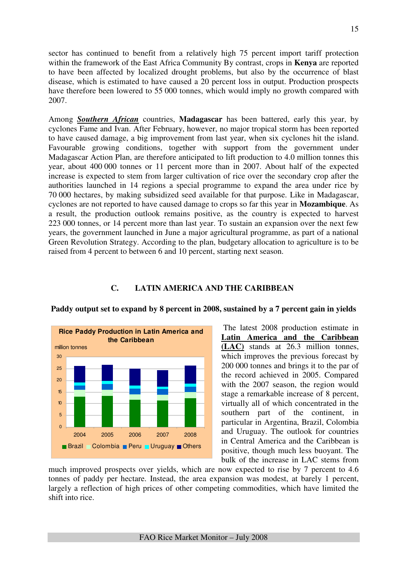sector has continued to benefit from a relatively high 75 percent import tariff protection within the framework of the East Africa Community By contrast, crops in **Kenya** are reported to have been affected by localized drought problems, but also by the occurrence of blast disease, which is estimated to have caused a 20 percent loss in output. Production prospects have therefore been lowered to 55 000 tonnes, which would imply no growth compared with 2007.

Among *Southern African* countries, **Madagascar** has been battered, early this year, by cyclones Fame and Ivan. After February, however, no major tropical storm has been reported to have caused damage, a big improvement from last year, when six cyclones hit the island. Favourable growing conditions, together with support from the government under Madagascar Action Plan, are therefore anticipated to lift production to 4.0 million tonnes this year, about 400 000 tonnes or 11 percent more than in 2007. About half of the expected increase is expected to stem from larger cultivation of rice over the secondary crop after the authorities launched in 14 regions a special programme to expand the area under rice by 70 000 hectares, by making subsidized seed available for that purpose. Like in Madagascar, cyclones are not reported to have caused damage to crops so far this year in **Mozambique**. As a result, the production outlook remains positive, as the country is expected to harvest 223 000 tonnes, or 14 percent more than last year. To sustain an expansion over the next few years, the government launched in June a major agricultural programme, as part of a national Green Revolution Strategy. According to the plan, budgetary allocation to agriculture is to be raised from 4 percent to between 6 and 10 percent, starting next season.

### **C. LATIN AMERICA AND THE CARIBBEAN**



### **Paddy output set to expand by 8 percent in 2008, sustained by a 7 percent gain in yields**

 The latest 2008 production estimate in **Latin America and the Caribbean (LAC)** stands at 26.3 million tonnes, which improves the previous forecast by 200 000 tonnes and brings it to the par of the record achieved in 2005. Compared with the 2007 season, the region would stage a remarkable increase of 8 percent, virtually all of which concentrated in the southern part of the continent, in particular in Argentina, Brazil, Colombia and Uruguay. The outlook for countries in Central America and the Caribbean is positive, though much less buoyant. The bulk of the increase in LAC stems from

much improved prospects over yields, which are now expected to rise by 7 percent to 4.6 tonnes of paddy per hectare. Instead, the area expansion was modest, at barely 1 percent, largely a reflection of high prices of other competing commodities, which have limited the shift into rice.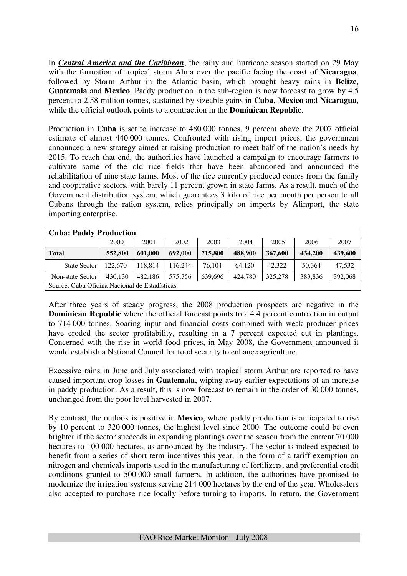In *Central America and the Caribbean*, the rainy and hurricane season started on 29 May with the formation of tropical storm Alma over the pacific facing the coast of **Nicaragua**, followed by Storm Arthur in the Atlantic basin, which brought heavy rains in **Belize**, **Guatemala** and **Mexico**. Paddy production in the sub-region is now forecast to grow by 4.5 percent to 2.58 million tonnes, sustained by sizeable gains in **Cuba**, **Mexico** and **Nicaragua**, while the official outlook points to a contraction in the **Dominican Republic**.

Production in **Cuba** is set to increase to 480 000 tonnes, 9 percent above the 2007 official estimate of almost 440 000 tonnes. Confronted with rising import prices, the government announced a new strategy aimed at raising production to meet half of the nation's needs by 2015. To reach that end, the authorities have launched a campaign to encourage farmers to cultivate some of the old rice fields that have been abandoned and announced the rehabilitation of nine state farms. Most of the rice currently produced comes from the family and cooperative sectors, with barely 11 percent grown in state farms. As a result, much of the Government distribution system, which guarantees 3 kilo of rice per month per person to all Cubans through the ration system, relies principally on imports by Alimport, the state importing enterprise.

| <b>Cuba: Paddy Production</b>                 |         |         |         |         |         |         |         |         |  |  |
|-----------------------------------------------|---------|---------|---------|---------|---------|---------|---------|---------|--|--|
|                                               | 2000    | 2001    | 2002    | 2003    | 2004    | 2005    | 2006    | 2007    |  |  |
| <b>Total</b>                                  | 552,800 | 601,000 | 692,000 | 715,800 | 488,900 | 367,600 | 434,200 | 439,600 |  |  |
| <b>State Sector</b>                           | 122,670 | 118.814 | 116.244 | 76,104  | 64.120  | 42,322  | 50.364  | 47.532  |  |  |
| Non-state Sector                              | 430.130 | 482.186 | 575.756 | 639,696 | 424,780 | 325,278 | 383,836 | 392,068 |  |  |
| Source: Cuba Oficina Nacional de Estadísticas |         |         |         |         |         |         |         |         |  |  |

After three years of steady progress, the 2008 production prospects are negative in the **Dominican Republic** where the official forecast points to a 4.4 percent contraction in output to 714 000 tonnes. Soaring input and financial costs combined with weak producer prices have eroded the sector profitability, resulting in a 7 percent expected cut in plantings. Concerned with the rise in world food prices, in May 2008, the Government announced it would establish a National Council for food security to enhance agriculture.

Excessive rains in June and July associated with tropical storm Arthur are reported to have caused important crop losses in **Guatemala,** wiping away earlier expectations of an increase in paddy production. As a result, this is now forecast to remain in the order of 30 000 tonnes, unchanged from the poor level harvested in 2007.

By contrast, the outlook is positive in **Mexico**, where paddy production is anticipated to rise by 10 percent to 320 000 tonnes, the highest level since 2000. The outcome could be even brighter if the sector succeeds in expanding plantings over the season from the current 70 000 hectares to 100 000 hectares, as announced by the industry. The sector is indeed expected to benefit from a series of short term incentives this year, in the form of a tariff exemption on nitrogen and chemicals imports used in the manufacturing of fertilizers, and preferential credit conditions granted to 500 000 small farmers. In addition, the authorities have promised to modernize the irrigation systems serving 214 000 hectares by the end of the year. Wholesalers also accepted to purchase rice locally before turning to imports. In return, the Government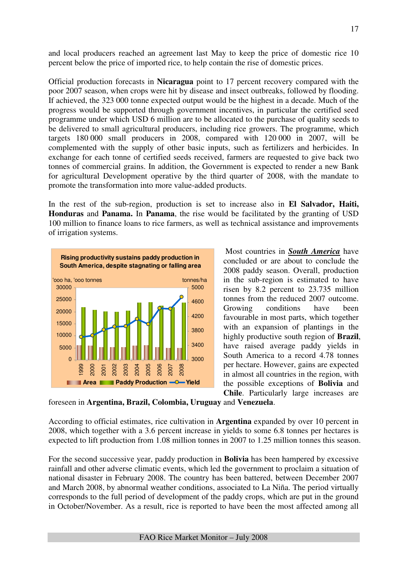and local producers reached an agreement last May to keep the price of domestic rice 10 percent below the price of imported rice, to help contain the rise of domestic prices.

Official production forecasts in **Nicaragua** point to 17 percent recovery compared with the poor 2007 season, when crops were hit by disease and insect outbreaks, followed by flooding. If achieved, the 323 000 tonne expected output would be the highest in a decade. Much of the progress would be supported through government incentives, in particular the certified seed programme under which USD 6 million are to be allocated to the purchase of quality seeds to be delivered to small agricultural producers, including rice growers. The programme, which targets 180 000 small producers in 2008, compared with 120 000 in 2007, will be complemented with the supply of other basic inputs, such as fertilizers and herbicides. In exchange for each tonne of certified seeds received, farmers are requested to give back two tonnes of commercial grains. In addition, the Government is expected to render a new Bank for agricultural Development operative by the third quarter of 2008, with the mandate to promote the transformation into more value-added products.

In the rest of the sub-region, production is set to increase also in **El Salvador, Haiti, Honduras** and **Panama.** In **Panama**, the rise would be facilitated by the granting of USD 100 million to finance loans to rice farmers, as well as technical assistance and improvements of irrigation systems.



 Most countries in *South America* have concluded or are about to conclude the 2008 paddy season. Overall, production in the sub-region is estimated to have risen by 8.2 percent to 23.735 million tonnes from the reduced 2007 outcome. Growing conditions have been favourable in most parts, which together with an expansion of plantings in the highly productive south region of **Brazil**, have raised average paddy yields in South America to a record 4.78 tonnes per hectare. However, gains are expected in almost all countries in the region, with the possible exceptions of **Bolivia** and **Chile**. Particularly large increases are

foreseen in **Argentina, Brazil, Colombia, Uruguay** and **Venezuela**.

According to official estimates, rice cultivation in **Argentina** expanded by over 10 percent in 2008, which together with a 3.6 percent increase in yields to some 6.8 tonnes per hectares is expected to lift production from 1.08 million tonnes in 2007 to 1.25 million tonnes this season.

For the second successive year, paddy production in **Bolivia** has been hampered by excessive rainfall and other adverse climatic events, which led the government to proclaim a situation of national disaster in February 2008. The country has been battered, between December 2007 and March 2008, by abnormal weather conditions, associated to La Niña. The period virtually corresponds to the full period of development of the paddy crops, which are put in the ground in October/November. As a result, rice is reported to have been the most affected among all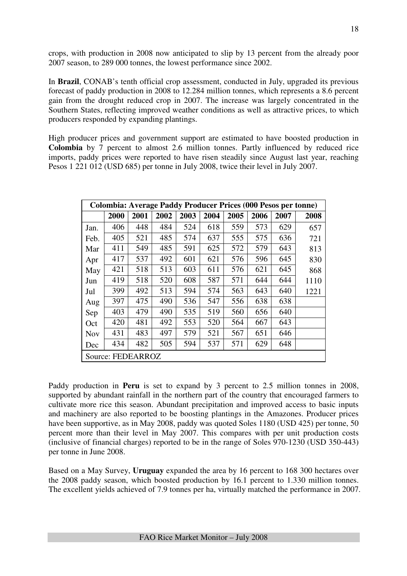crops, with production in 2008 now anticipated to slip by 13 percent from the already poor 2007 season, to 289 000 tonnes, the lowest performance since 2002.

In **Brazil**, CONAB's tenth official crop assessment, conducted in July, upgraded its previous forecast of paddy production in 2008 to 12.284 million tonnes, which represents a 8.6 percent gain from the drought reduced crop in 2007. The increase was largely concentrated in the Southern States, reflecting improved weather conditions as well as attractive prices, to which producers responded by expanding plantings.

High producer prices and government support are estimated to have boosted production in **Colombia** by 7 percent to almost 2.6 million tonnes. Partly influenced by reduced rice imports, paddy prices were reported to have risen steadily since August last year, reaching Pesos 1 221 012 (USD 685) per tonne in July 2008, twice their level in July 2007.

|            |                   |      |      |      |      |      |      | <b>Colombia: Average Paddy Producer Prices (000 Pesos per tonne)</b> |      |
|------------|-------------------|------|------|------|------|------|------|----------------------------------------------------------------------|------|
|            | 2000              | 2001 | 2002 | 2003 | 2004 | 2005 | 2006 | 2007                                                                 | 2008 |
| Jan.       | 406               | 448  | 484  | 524  | 618  | 559  | 573  | 629                                                                  | 657  |
| Feb.       | 405               | 521  | 485  | 574  | 637  | 555  | 575  | 636                                                                  | 721  |
| Mar        | 411               | 549  | 485  | 591  | 625  | 572  | 579  | 643                                                                  | 813  |
| Apr        | 417               | 537  | 492  | 601  | 621  | 576  | 596  | 645                                                                  | 830  |
| May        | 421               | 518  | 513  | 603  | 611  | 576  | 621  | 645                                                                  | 868  |
| Jun        | 419               | 518  | 520  | 608  | 587  | 571  | 644  | 644                                                                  | 1110 |
| Jul        | 399               | 492  | 513  | 594  | 574  | 563  | 643  | 640                                                                  | 1221 |
| Aug        | 397               | 475  | 490  | 536  | 547  | 556  | 638  | 638                                                                  |      |
| Sep        | 403               | 479  | 490  | 535  | 519  | 560  | 656  | 640                                                                  |      |
| Oct        | 420               | 481  | 492  | 553  | 520  | 564  | 667  | 643                                                                  |      |
| <b>Nov</b> | 431               | 483  | 497  | 579  | 521  | 567  | 651  | 646                                                                  |      |
| Dec        | 434               | 482  | 505  | 594  | 537  | 571  | 629  | 648                                                                  |      |
|            | Source: FEDEARROZ |      |      |      |      |      |      |                                                                      |      |

Paddy production in **Peru** is set to expand by 3 percent to 2.5 million tonnes in 2008, supported by abundant rainfall in the northern part of the country that encouraged farmers to cultivate more rice this season. Abundant precipitation and improved access to basic inputs and machinery are also reported to be boosting plantings in the Amazones. Producer prices have been supportive, as in May 2008, paddy was quoted Soles 1180 (USD 425) per tonne, 50 percent more than their level in May 2007. This compares with per unit production costs (inclusive of financial charges) reported to be in the range of Soles 970-1230 (USD 350-443) per tonne in June 2008.

Based on a May Survey, **Uruguay** expanded the area by 16 percent to 168 300 hectares over the 2008 paddy season, which boosted production by 16.1 percent to 1.330 million tonnes. The excellent yields achieved of 7.9 tonnes per ha, virtually matched the performance in 2007.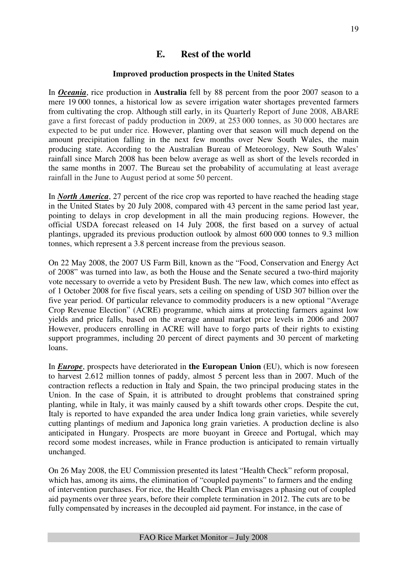### **E. Rest of the world**

### **Improved production prospects in the United States**

In *Oceania*, rice production in **Australia** fell by 88 percent from the poor 2007 season to a mere 19 000 tonnes, a historical low as severe irrigation water shortages prevented farmers from cultivating the crop. Although still early, in its Quarterly Report of June 2008, ABARE gave a first forecast of paddy production in 2009, at 253 000 tonnes, as 30 000 hectares are expected to be put under rice. However, planting over that season will much depend on the amount precipitation falling in the next few months over New South Wales, the main producing state. According to the Australian Bureau of Meteorology, New South Wales' rainfall since March 2008 has been below average as well as short of the levels recorded in the same months in 2007. The Bureau set the probability of accumulating at least average rainfall in the June to August period at some 50 percent.

In *North America*, 27 percent of the rice crop was reported to have reached the heading stage in the United States by 20 July 2008, compared with 43 percent in the same period last year, pointing to delays in crop development in all the main producing regions. However, the official USDA forecast released on 14 July 2008, the first based on a survey of actual plantings, upgraded its previous production outlook by almost 600 000 tonnes to 9.3 million tonnes, which represent a 3.8 percent increase from the previous season.

On 22 May 2008, the 2007 US Farm Bill, known as the "Food, Conservation and Energy Act of 2008" was turned into law, as both the House and the Senate secured a two-third majority vote necessary to override a veto by President Bush. The new law, which comes into effect as of 1 October 2008 for five fiscal years, sets a ceiling on spending of USD 307 billion over the five year period. Of particular relevance to commodity producers is a new optional "Average Crop Revenue Election" (ACRE) programme, which aims at protecting farmers against low yields and price falls, based on the average annual market price levels in 2006 and 2007 However, producers enrolling in ACRE will have to forgo parts of their rights to existing support programmes, including 20 percent of direct payments and 30 percent of marketing loans.

In *Europe*, prospects have deteriorated in **the European Union** (EU), which is now foreseen to harvest 2.612 million tonnes of paddy, almost 5 percent less than in 2007. Much of the contraction reflects a reduction in Italy and Spain, the two principal producing states in the Union. In the case of Spain, it is attributed to drought problems that constrained spring planting, while in Italy, it was mainly caused by a shift towards other crops. Despite the cut, Italy is reported to have expanded the area under Indica long grain varieties, while severely cutting plantings of medium and Japonica long grain varieties. A production decline is also anticipated in Hungary. Prospects are more buoyant in Greece and Portugal, which may record some modest increases, while in France production is anticipated to remain virtually unchanged.

On 26 May 2008, the EU Commission presented its latest "Health Check" reform proposal, which has, among its aims, the elimination of "coupled payments" to farmers and the ending of intervention purchases. For rice, the Health Check Plan envisages a phasing out of coupled aid payments over three years, before their complete termination in 2012. The cuts are to be fully compensated by increases in the decoupled aid payment. For instance, in the case of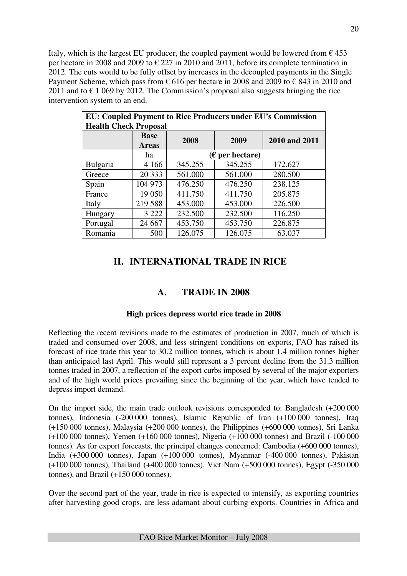Italy, which is the largest EU producer, the coupled payment would be lowered from  $\epsilon$  453 per hectare in 2008 and 2009 to  $\epsilon$  227 in 2010 and 2011, before its complete termination in 2012. The cuts would to be fully offset by increases in the decoupled payments in the Single Payment Scheme, which pass from  $\epsilon$  616 per hectare in 2008 and 2009 to  $\epsilon$  843 in 2010 and 2011 and to  $\epsilon$  1 069 by 2012. The Commission's proposal also suggests bringing the rice intervention system to an end.

| <b>EU: Coupled Payment to Rice Producers under EU's Commission</b> |              |         |                   |               |  |  |  |  |  |  |
|--------------------------------------------------------------------|--------------|---------|-------------------|---------------|--|--|--|--|--|--|
| <b>Health Check Proposal</b>                                       |              |         |                   |               |  |  |  |  |  |  |
|                                                                    | <b>Base</b>  | 2008    | 2009              | 2010 and 2011 |  |  |  |  |  |  |
|                                                                    | <b>Areas</b> |         |                   |               |  |  |  |  |  |  |
|                                                                    | ha           |         | $(E$ per hectare) |               |  |  |  |  |  |  |
| Bulgaria                                                           | 4 1 6 6      | 345.255 | 345.255           | 172.627       |  |  |  |  |  |  |
| Greece                                                             | 20 333       | 561.000 | 561.000           | 280.500       |  |  |  |  |  |  |
| Spain                                                              | 104 973      | 476.250 | 476.250           | 238.125       |  |  |  |  |  |  |
| France                                                             | 19 0 50      | 411.750 | 411.750           | 205.875       |  |  |  |  |  |  |
| Italy                                                              | 219 588      | 453.000 | 453.000           | 226.500       |  |  |  |  |  |  |
| Hungary                                                            | 3 2 2 2      | 232.500 | 232.500           | 116.250       |  |  |  |  |  |  |
| Portugal                                                           | 24 6 67      | 453.750 | 453.750           | 226.875       |  |  |  |  |  |  |
| Romania                                                            | 500          | 126.075 | 126.075           | 63.037        |  |  |  |  |  |  |

### **II. INTERNATIONAL TRADE IN RICE**

### **A. TRADE IN 2008**

### **High prices depress world rice trade in 2008**

Reflecting the recent revisions made to the estimates of production in 2007, much of which is traded and consumed over 2008, and less stringent conditions on exports, FAO has raised its forecast of rice trade this year to 30.2 million tonnes, which is about 1.4 million tonnes higher than anticipated last April. This would still represent a 3 percent decline from the 31.3 million tonnes traded in 2007, a reflection of the export curbs imposed by several of the major exporters and of the high world prices prevailing since the beginning of the year, which have tended to depress import demand.

On the import side, the main trade outlook revisions corresponded to: Bangladesh (+200 000 tonnes), Indonesia (-200 000 tonnes), Islamic Republic of Iran (+100 000 tonnes), Iraq (+150 000 tonnes), Malaysia (+200 000 tonnes), the Philippines (+600 000 tonnes), Sri Lanka (+100 000 tonnes), Yemen (+160 000 tonnes), Nigeria (+100 000 tonnes) and Brazil (-100 000 tonnes). As for export forecasts, the principal changes concerned: Cambodia (+600 000 tonnes), India (+300 000 tonnes), Japan (+100 000 tonnes), Myanmar (-400 000 tonnes), Pakistan (+100 000 tonnes), Thailand (+400 000 tonnes), Viet Nam (+500 000 tonnes), Egypt (-350 000 tonnes), and Brazil (+150 000 tonnes).

Over the second part of the year, trade in rice is expected to intensify, as exporting countries after harvesting good crops, are less adamant about curbing exports. Countries in Africa and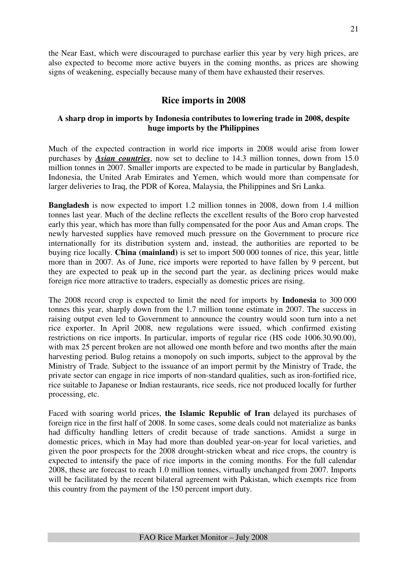the Near East, which were discouraged to purchase earlier this year by very high prices, are also expected to become more active buyers in the coming months, as prices are showing signs of weakening, especially because many of them have exhausted their reserves.

### **Rice imports in 2008**

### **A sharp drop in imports by Indonesia contributes to lowering trade in 2008, despite huge imports by the Philippines**

Much of the expected contraction in world rice imports in 2008 would arise from lower purchases by *Asian countries*, now set to decline to 14.3 million tonnes, down from 15.0 million tonnes in 2007. Smaller imports are expected to be made in particular by Bangladesh, Indonesia, the United Arab Emirates and Yemen, which would more than compensate for larger deliveries to Iraq, the PDR of Korea, Malaysia, the Philippines and Sri Lanka.

**Bangladesh** is now expected to import 1.2 million tonnes in 2008, down from 1.4 million tonnes last year. Much of the decline reflects the excellent results of the Boro crop harvested early this year, which has more than fully compensated for the poor Aus and Aman crops. The newly harvested supplies have removed much pressure on the Government to procure rice internationally for its distribution system and, instead, the authorities are reported to be buying rice locally. **China (mainland)** is set to import 500 000 tonnes of rice, this year, little more than in 2007. As of June, rice imports were reported to have fallen by 9 percent, but they are expected to peak up in the second part the year, as declining prices would make foreign rice more attractive to traders, especially as domestic prices are rising.

The 2008 record crop is expected to limit the need for imports by **Indonesia** to 300 000 tonnes this year, sharply down from the 1.7 million tonne estimate in 2007. The success in raising output even led to Government to announce the country would soon turn into a net rice exporter. In April 2008, new regulations were issued, which confirmed existing restrictions on rice imports. In particular, imports of regular rice (HS code 1006.30.90.00), with max 25 percent broken are not allowed one month before and two months after the main harvesting period. Bulog retains a monopoly on such imports, subject to the approval by the Ministry of Trade. Subject to the issuance of an import permit by the Ministry of Trade, the private sector can engage in rice imports of non-standard qualities, such as iron-fortified rice, rice suitable to Japanese or Indian restaurants, rice seeds, rice not produced locally for further processing, etc.

Faced with soaring world prices, **the Islamic Republic of Iran** delayed its purchases of foreign rice in the first half of 2008. In some cases, some deals could not materialize as banks had difficulty handling letters of credit because of trade sanctions. Amidst a surge in domestic prices, which in May had more than doubled year-on-year for local varieties, and given the poor prospects for the 2008 drought-stricken wheat and rice crops, the country is expected to intensify the pace of rice imports in the coming months. For the full calendar 2008, these are forecast to reach 1.0 million tonnes, virtually unchanged from 2007. Imports will be facilitated by the recent bilateral agreement with Pakistan, which exempts rice from this country from the payment of the 150 percent import duty.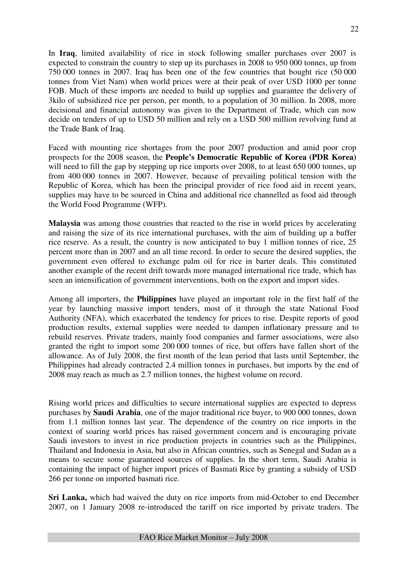In **Iraq**, limited availability of rice in stock following smaller purchases over 2007 is expected to constrain the country to step up its purchases in 2008 to 950 000 tonnes, up from 750 000 tonnes in 2007. Iraq has been one of the few countries that bought rice (50 000 tonnes from Viet Nam) when world prices were at their peak of over USD 1000 per tonne FOB. Much of these imports are needed to build up supplies and guarantee the delivery of 3kilo of subsidized rice per person, per month, to a population of 30 million. In 2008, more decisional and financial autonomy was given to the Department of Trade, which can now decide on tenders of up to USD 50 million and rely on a USD 500 million revolving fund at the Trade Bank of Iraq.

Faced with mounting rice shortages from the poor 2007 production and amid poor crop prospects for the 2008 season, the **People's Democratic Republic of Korea (PDR Korea)**  will need to fill the gap by stepping up rice imports over 2008, to at least 650 000 tonnes, up from 400 000 tonnes in 2007. However, because of prevailing political tension with the Republic of Korea, which has been the principal provider of rice food aid in recent years, supplies may have to be sourced in China and additional rice channelled as food aid through the World Food Programme (WFP).

**Malaysia** was among those countries that reacted to the rise in world prices by accelerating and raising the size of its rice international purchases, with the aim of building up a buffer rice reserve. As a result, the country is now anticipated to buy 1 million tonnes of rice, 25 percent more than in 2007 and an all time record. In order to secure the desired supplies, the government even offered to exchange palm oil for rice in barter deals. This constituted another example of the recent drift towards more managed international rice trade, which has seen an intensification of government interventions, both on the export and import sides.

Among all importers, the **Philippines** have played an important role in the first half of the year by launching massive import tenders, most of it through the state National Food Authority (NFA), which exacerbated the tendency for prices to rise. Despite reports of good production results, external supplies were needed to dampen inflationary pressure and to rebuild reserves. Private traders, mainly food companies and farmer associations, were also granted the right to import some 200 000 tonnes of rice, but offers have fallen short of the allowance. As of July 2008, the first month of the lean period that lasts until September, the Philippines had already contracted 2.4 million tonnes in purchases, but imports by the end of 2008 may reach as much as 2.7 million tonnes, the highest volume on record.

Rising world prices and difficulties to secure international supplies are expected to depress purchases by **Saudi Arabia**, one of the major traditional rice buyer, to 900 000 tonnes, down from 1.1 million tonnes last year. The dependence of the country on rice imports in the context of soaring world prices has raised government concern and is encouraging private Saudi investors to invest in rice production projects in countries such as the Philippines, Thailand and Indonesia in Asia, but also in African countries, such as Senegal and Sudan as a means to secure some guaranteed sources of supplies. In the short term, Saudi Arabia is containing the impact of higher import prices of Basmati Rice by granting a subsidy of USD 266 per tonne on imported basmati rice.

**Sri Lanka,** which had waived the duty on rice imports from mid-October to end December 2007, on 1 January 2008 re-introduced the tariff on rice imported by private traders. The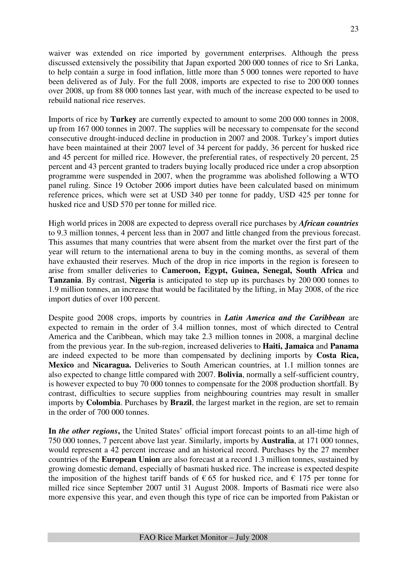waiver was extended on rice imported by government enterprises. Although the press discussed extensively the possibility that Japan exported 200 000 tonnes of rice to Sri Lanka, to help contain a surge in food inflation, little more than 5 000 tonnes were reported to have been delivered as of July. For the full 2008, imports are expected to rise to 200 000 tonnes over 2008, up from 88 000 tonnes last year, with much of the increase expected to be used to rebuild national rice reserves.

Imports of rice by **Turkey** are currently expected to amount to some 200 000 tonnes in 2008, up from 167 000 tonnes in 2007. The supplies will be necessary to compensate for the second consecutive drought-induced decline in production in 2007 and 2008. Turkey's import duties have been maintained at their 2007 level of 34 percent for paddy, 36 percent for husked rice and 45 percent for milled rice. However, the preferential rates, of respectively 20 percent, 25 percent and 43 percent granted to traders buying locally produced rice under a crop absorption programme were suspended in 2007, when the programme was abolished following a WTO panel ruling. Since 19 October 2006 import duties have been calculated based on minimum reference prices, which were set at USD 340 per tonne for paddy, USD 425 per tonne for husked rice and USD 570 per tonne for milled rice.

High world prices in 2008 are expected to depress overall rice purchases by *African countries* to 9.3 million tonnes, 4 percent less than in 2007 and little changed from the previous forecast. This assumes that many countries that were absent from the market over the first part of the year will return to the international arena to buy in the coming months, as several of them have exhausted their reserves. Much of the drop in rice imports in the region is foreseen to arise from smaller deliveries to **Cameroon, Egypt, Guinea, Senegal, South Africa** and **Tanzania**. By contrast, **Nigeria** is anticipated to step up its purchases by 200 000 tonnes to 1.9 million tonnes, an increase that would be facilitated by the lifting, in May 2008, of the rice import duties of over 100 percent.

Despite good 2008 crops, imports by countries in *Latin America and the Caribbean* are expected to remain in the order of 3.4 million tonnes, most of which directed to Central America and the Caribbean, which may take 2.3 million tonnes in 2008, a marginal decline from the previous year. In the sub-region, increased deliveries to **Haiti, Jamaica** and **Panama** are indeed expected to be more than compensated by declining imports by **Costa Rica, Mexico** and **Nicaragua.** Deliveries to South American countries, at 1.1 million tonnes are also expected to change little compared with 2007. **Bolivia**, normally a self-sufficient country, is however expected to buy 70 000 tonnes to compensate for the 2008 production shortfall. By contrast, difficulties to secure supplies from neighbouring countries may result in smaller imports by **Colombia**. Purchases by **Brazil**, the largest market in the region, are set to remain in the order of 700 000 tonnes.

**In** *the other regions***,** the United States' official import forecast points to an all-time high of 750 000 tonnes, 7 percent above last year. Similarly, imports by **Australia**, at 171 000 tonnes, would represent a 42 percent increase and an historical record. Purchases by the 27 member countries of the **European Union** are also forecast at a record 1.3 million tonnes, sustained by growing domestic demand, especially of basmati husked rice. The increase is expected despite the imposition of the highest tariff bands of  $\epsilon$  65 for husked rice, and  $\epsilon$  175 per tonne for milled rice since September 2007 until 31 August 2008. Imports of Basmati rice were also more expensive this year, and even though this type of rice can be imported from Pakistan or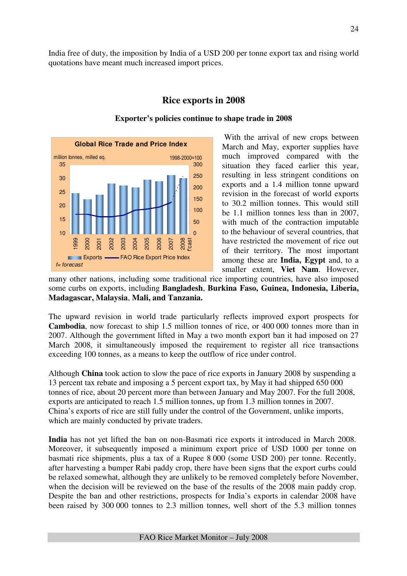India free of duty, the imposition by India of a USD 200 per tonne export tax and rising world quotations have meant much increased import prices.



### **Rice exports in 2008**

### **Exporter's policies continue to shape trade in 2008**

 With the arrival of new crops between March and May, exporter supplies have much improved compared with the situation they faced earlier this year, resulting in less stringent conditions on exports and a 1.4 million tonne upward revision in the forecast of world exports to 30.2 million tonnes. This would still be 1.1 million tonnes less than in 2007, with much of the contraction imputable to the behaviour of several countries, that have restricted the movement of rice out of their territory. The most important among these are **India, Egypt** and, to a smaller extent, **Viet Nam**. However,

many other nations, including some traditional rice importing countries, have also imposed some curbs on exports, including **Bangladesh**, **Burkina Faso, Guinea, Indonesia, Liberia, Madagascar, Malaysia**, **Mali, and Tanzania.** 

The upward revision in world trade particularly reflects improved export prospects for **Cambodia**, now forecast to ship 1.5 million tonnes of rice, or 400 000 tonnes more than in 2007. Although the government lifted in May a two month export ban it had imposed on 27 March 2008, it simultaneously imposed the requirement to register all rice transactions exceeding 100 tonnes, as a means to keep the outflow of rice under control.

Although **China** took action to slow the pace of rice exports in January 2008 by suspending a 13 percent tax rebate and imposing a 5 percent export tax, by May it had shipped 650 000 tonnes of rice, about 20 percent more than between January and May 2007. For the full 2008, exports are anticipated to reach 1.5 million tonnes, up from 1.3 million tonnes in 2007. China's exports of rice are still fully under the control of the Government, unlike imports, which are mainly conducted by private traders.

**India** has not yet lifted the ban on non-Basmati rice exports it introduced in March 2008. Moreover, it subsequently imposed a minimum export price of USD 1000 per tonne on basmati rice shipments, plus a tax of a Rupee 8 000 (some USD 200) per tonne. Recently, after harvesting a bumper Rabi paddy crop, there have been signs that the export curbs could be relaxed somewhat, although they are unlikely to be removed completely before November, when the decision will be reviewed on the base of the results of the 2008 main paddy crop. Despite the ban and other restrictions, prospects for India's exports in calendar 2008 have been raised by 300 000 tonnes to 2.3 million tonnes, well short of the 5.3 million tonnes

FAO Rice Market Monitor – July 2008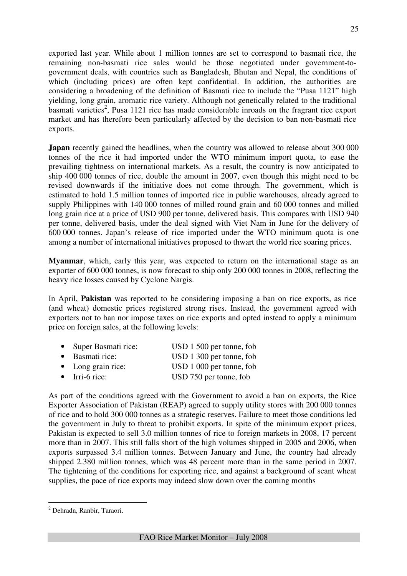exported last year. While about 1 million tonnes are set to correspond to basmati rice, the remaining non-basmati rice sales would be those negotiated under government-to-

government deals, with countries such as Bangladesh, Bhutan and Nepal, the conditions of which (including prices) are often kept confidential. In addition, the authorities are considering a broadening of the definition of Basmati rice to include the "Pusa 1121" high yielding, long grain, aromatic rice variety. Although not genetically related to the traditional basmati varieties<sup>2</sup>, Pusa 1121 rice has made considerable inroads on the fragrant rice export market and has therefore been particularly affected by the decision to ban non-basmati rice exports.

**Japan** recently gained the headlines, when the country was allowed to release about 300 000 tonnes of the rice it had imported under the WTO minimum import quota, to ease the prevailing tightness on international markets. As a result, the country is now anticipated to ship 400 000 tonnes of rice, double the amount in 2007, even though this might need to be revised downwards if the initiative does not come through. The government, which is estimated to hold 1.5 million tonnes of imported rice in public warehouses, already agreed to supply Philippines with 140 000 tonnes of milled round grain and 60 000 tonnes and milled long grain rice at a price of USD 900 per tonne, delivered basis. This compares with USD 940 per tonne, delivered basis, under the deal signed with Viet Nam in June for the delivery of 600 000 tonnes. Japan's release of rice imported under the WTO minimum quota is one among a number of international initiatives proposed to thwart the world rice soaring prices.

**Myanmar**, which, early this year, was expected to return on the international stage as an exporter of 600 000 tonnes, is now forecast to ship only 200 000 tonnes in 2008, reflecting the heavy rice losses caused by Cyclone Nargis.

In April, **Pakistan** was reported to be considering imposing a ban on rice exports, as rice (and wheat) domestic prices registered strong rises. Instead, the government agreed with exporters not to ban nor impose taxes on rice exports and opted instead to apply a minimum price on foreign sales, at the following levels:

| • Super Basmati rice:      | USD 1 500 per tonne, fob |
|----------------------------|--------------------------|
| • Basmati rice:            | USD 1 300 per tonne, fob |
| $\bullet$ Long grain rice: | USD 1 000 per tonne, fob |
| $\bullet$ Irri-6 rice:     | USD 750 per tonne, fob   |

As part of the conditions agreed with the Government to avoid a ban on exports, the Rice Exporter Association of Pakistan (REAP) agreed to supply utility stores with 200 000 tonnes of rice and to hold 300 000 tonnes as a strategic reserves. Failure to meet those conditions led the government in July to threat to prohibit exports. In spite of the minimum export prices, Pakistan is expected to sell 3.0 million tonnes of rice to foreign markets in 2008, 17 percent more than in 2007. This still falls short of the high volumes shipped in 2005 and 2006, when exports surpassed 3.4 million tonnes. Between January and June, the country had already shipped 2.380 million tonnes, which was 48 percent more than in the same period in 2007. The tightening of the conditions for exporting rice, and against a background of scant wheat supplies, the pace of rice exports may indeed slow down over the coming months

 $\overline{a}$ 

<sup>&</sup>lt;sup>2</sup> Dehradn, Ranbir, Taraori.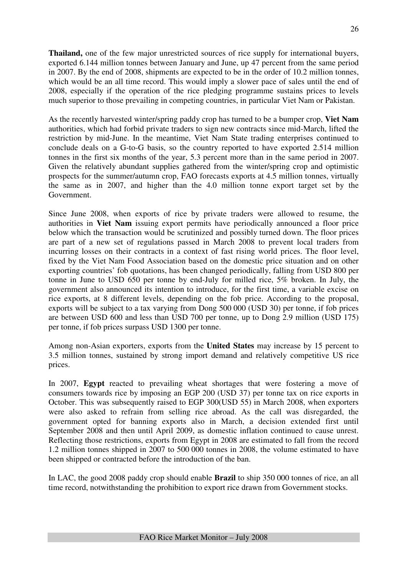**Thailand,** one of the few major unrestricted sources of rice supply for international buyers, exported 6.144 million tonnes between January and June, up 47 percent from the same period in 2007. By the end of 2008, shipments are expected to be in the order of 10.2 million tonnes, which would be an all time record. This would imply a slower pace of sales until the end of 2008, especially if the operation of the rice pledging programme sustains prices to levels much superior to those prevailing in competing countries, in particular Viet Nam or Pakistan.

As the recently harvested winter/spring paddy crop has turned to be a bumper crop, **Viet Nam** authorities, which had forbid private traders to sign new contracts since mid-March, lifted the restriction by mid-June. In the meantime, Viet Nam State trading enterprises continued to conclude deals on a G-to-G basis, so the country reported to have exported 2.514 million tonnes in the first six months of the year, 5.3 percent more than in the same period in 2007. Given the relatively abundant supplies gathered from the winter/spring crop and optimistic prospects for the summer/autumn crop, FAO forecasts exports at 4.5 million tonnes, virtually the same as in 2007, and higher than the 4.0 million tonne export target set by the Government.

Since June 2008, when exports of rice by private traders were allowed to resume, the authorities in **Viet Nam** issuing export permits have periodically announced a floor price below which the transaction would be scrutinized and possibly turned down. The floor prices are part of a new set of regulations passed in March 2008 to prevent local traders from incurring losses on their contracts in a context of fast rising world prices. The floor level, fixed by the Viet Nam Food Association based on the domestic price situation and on other exporting countries' fob quotations, has been changed periodically, falling from USD 800 per tonne in June to USD 650 per tonne by end-July for milled rice, 5% broken. In July, the government also announced its intention to introduce, for the first time, a variable excise on rice exports, at 8 different levels, depending on the fob price. According to the proposal, exports will be subject to a tax varying from Dong 500 000 (USD 30) per tonne, if fob prices are between USD 600 and less than USD 700 per tonne, up to Dong 2.9 million (USD 175) per tonne, if fob prices surpass USD 1300 per tonne.

Among non-Asian exporters, exports from the **United States** may increase by 15 percent to 3.5 million tonnes, sustained by strong import demand and relatively competitive US rice prices.

In 2007, **Egypt** reacted to prevailing wheat shortages that were fostering a move of consumers towards rice by imposing an EGP 200 (USD 37) per tonne tax on rice exports in October. This was subsequently raised to EGP 300(USD 55) in March 2008, when exporters were also asked to refrain from selling rice abroad. As the call was disregarded, the government opted for banning exports also in March, a decision extended first until September 2008 and then until April 2009, as domestic inflation continued to cause unrest. Reflecting those restrictions, exports from Egypt in 2008 are estimated to fall from the record 1.2 million tonnes shipped in 2007 to 500 000 tonnes in 2008, the volume estimated to have been shipped or contracted before the introduction of the ban.

In LAC, the good 2008 paddy crop should enable **Brazil** to ship 350 000 tonnes of rice, an all time record, notwithstanding the prohibition to export rice drawn from Government stocks.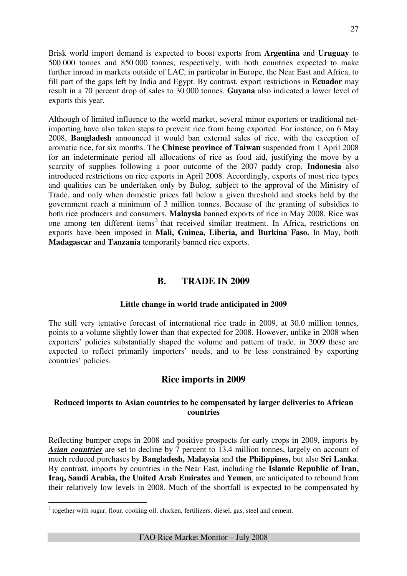Brisk world import demand is expected to boost exports from **Argentina** and **Uruguay** to 500 000 tonnes and 850 000 tonnes, respectively, with both countries expected to make further inroad in markets outside of LAC, in particular in Europe, the Near East and Africa, to fill part of the gaps left by India and Egypt. By contrast, export restrictions in **Ecuador** may result in a 70 percent drop of sales to 30 000 tonnes. **Guyana** also indicated a lower level of exports this year.

Although of limited influence to the world market, several minor exporters or traditional netimporting have also taken steps to prevent rice from being exported. For instance, on 6 May 2008, **Bangladesh** announced it would ban external sales of rice, with the exception of aromatic rice, for six months. The **Chinese province of Taiwan** suspended from 1 April 2008 for an indeterminate period all allocations of rice as food aid, justifying the move by a scarcity of supplies following a poor outcome of the 2007 paddy crop. **Indonesia** also introduced restrictions on rice exports in April 2008. Accordingly, exports of most rice types and qualities can be undertaken only by Bulog, subject to the approval of the Ministry of Trade, and only when domestic prices fall below a given threshold and stocks held by the government reach a minimum of 3 million tonnes. Because of the granting of subsidies to both rice producers and consumers, **Malaysia** banned exports of rice in May 2008. Rice was one among ten different items<sup>3</sup> that received similar treatment. In Africa, restrictions on exports have been imposed in **Mali, Guinea, Liberia, and Burkina Faso.** In May, both **Madagascar** and **Tanzania** temporarily banned rice exports.

### **B. TRADE IN 2009**

### **Little change in world trade anticipated in 2009**

The still very tentative forecast of international rice trade in 2009, at 30.0 million tonnes, points to a volume slightly lower than that expected for 2008. However, unlike in 2008 when exporters' policies substantially shaped the volume and pattern of trade, in 2009 these are expected to reflect primarily importers' needs, and to be less constrained by exporting countries' policies.

### **Rice imports in 2009**

### **Reduced imports to Asian countries to be compensated by larger deliveries to African countries**

Reflecting bumper crops in 2008 and positive prospects for early crops in 2009, imports by *Asian countries* are set to decline by 7 percent to 13.4 million tonnes, largely on account of much reduced purchases by **Bangladesh, Malaysia** and **the Philippines,** but also **Sri Lanka**. By contrast, imports by countries in the Near East, including the **Islamic Republic of Iran, Iraq, Saudi Arabia, the United Arab Emirates** and **Yemen**, are anticipated to rebound from their relatively low levels in 2008. Much of the shortfall is expected to be compensated by

<sup>&</sup>lt;sup>3</sup> together with sugar, flour, cooking oil, chicken, fertilizers, diesel, gas, steel and cement.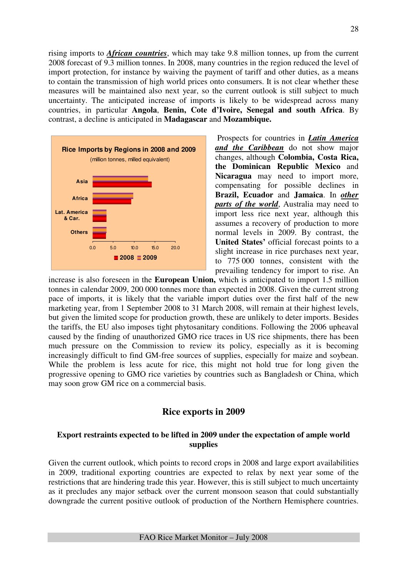rising imports to *African countries*, which may take 9.8 million tonnes, up from the current 2008 forecast of 9.3 million tonnes. In 2008, many countries in the region reduced the level of import protection, for instance by waiving the payment of tariff and other duties, as a means to contain the transmission of high world prices onto consumers. It is not clear whether these measures will be maintained also next year, so the current outlook is still subject to much uncertainty. The anticipated increase of imports is likely to be widespread across many countries, in particular **Angola**, **Benin, Cote d'Ivoire, Senegal and south Africa**. By contrast, a decline is anticipated in **Madagascar** and **Mozambique.** 



 Prospects for countries in *Latin America and the Caribbean* do not show major changes, although **Colombia, Costa Rica, the Dominican Republic Mexico** and **Nicaragua** may need to import more, compensating for possible declines in **Brazil, Ecuador** and **Jamaica**. In *other parts of the world*, Australia may need to import less rice next year, although this assumes a recovery of production to more normal levels in 2009. By contrast, the **United States'** official forecast points to a slight increase in rice purchases next year, to 775 000 tonnes, consistent with the prevailing tendency for import to rise. An

increase is also foreseen in the **European Union,** which is anticipated to import 1.5 million tonnes in calendar 2009, 200 000 tonnes more than expected in 2008. Given the current strong pace of imports, it is likely that the variable import duties over the first half of the new marketing year, from 1 September 2008 to 31 March 2008, will remain at their highest levels, but given the limited scope for production growth, these are unlikely to deter imports. Besides the tariffs, the EU also imposes tight phytosanitary conditions. Following the 2006 upheaval caused by the finding of unauthorized GMO rice traces in US rice shipments, there has been much pressure on the Commission to review its policy, especially as it is becoming increasingly difficult to find GM-free sources of supplies, especially for maize and soybean. While the problem is less acute for rice, this might not hold true for long given the progressive opening to GMO rice varieties by countries such as Bangladesh or China, which may soon grow GM rice on a commercial basis.

### **Rice exports in 2009**

### **Export restraints expected to be lifted in 2009 under the expectation of ample world supplies**

Given the current outlook, which points to record crops in 2008 and large export availabilities in 2009, traditional exporting countries are expected to relax by next year some of the restrictions that are hindering trade this year. However, this is still subject to much uncertainty as it precludes any major setback over the current monsoon season that could substantially downgrade the current positive outlook of production of the Northern Hemisphere countries.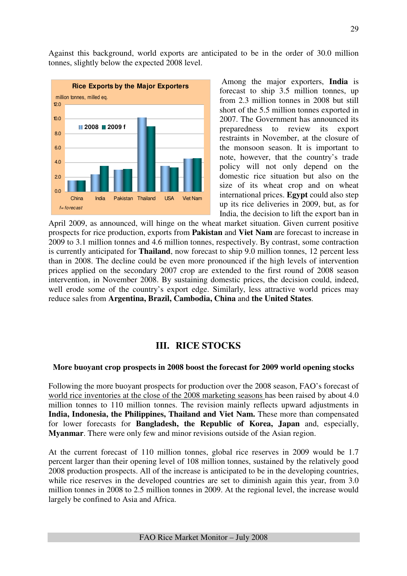Against this background, world exports are anticipated to be in the order of 30.0 million tonnes, slightly below the expected 2008 level.



 Among the major exporters, **India** is forecast to ship 3.5 million tonnes, up from 2.3 million tonnes in 2008 but still short of the 5.5 million tonnes exported in 2007. The Government has announced its preparedness to review its export restraints in November, at the closure of the monsoon season. It is important to note, however, that the country's trade policy will not only depend on the domestic rice situation but also on the size of its wheat crop and on wheat international prices. **Egypt** could also step up its rice deliveries in 2009, but, as for India, the decision to lift the export ban in

April 2009, as announced, will hinge on the wheat market situation. Given current positive prospects for rice production, exports from **Pakistan** and **Viet Nam** are forecast to increase in 2009 to 3.1 million tonnes and 4.6 million tonnes, respectively. By contrast, some contraction is currently anticipated for **Thailand**, now forecast to ship 9.0 million tonnes, 12 percent less than in 2008. The decline could be even more pronounced if the high levels of intervention prices applied on the secondary 2007 crop are extended to the first round of 2008 season intervention, in November 2008. By sustaining domestic prices, the decision could, indeed, well erode some of the country's export edge. Similarly, less attractive world prices may reduce sales from **Argentina, Brazil, Cambodia, China** and **the United States**.

### **III. RICE STOCKS**

#### **More buoyant crop prospects in 2008 boost the forecast for 2009 world opening stocks**

Following the more buoyant prospects for production over the 2008 season, FAO's forecast of world rice inventories at the close of the 2008 marketing seasons has been raised by about 4.0 million tonnes to 110 million tonnes. The revision mainly reflects upward adjustments in **India, Indonesia, the Philippines, Thailand and Viet Nam.** These more than compensated for lower forecasts for **Bangladesh, the Republic of Korea, Japan** and, especially, **Myanmar**. There were only few and minor revisions outside of the Asian region.

At the current forecast of 110 million tonnes, global rice reserves in 2009 would be 1.7 percent larger than their opening level of 108 million tonnes, sustained by the relatively good 2008 production prospects. All of the increase is anticipated to be in the developing countries, while rice reserves in the developed countries are set to diminish again this year, from 3.0 million tonnes in 2008 to 2.5 million tonnes in 2009. At the regional level, the increase would largely be confined to Asia and Africa.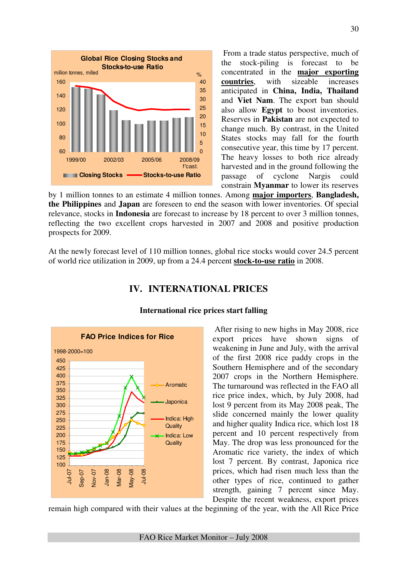

 From a trade status perspective, much of the stock-piling is forecast to be concentrated in the **major exporting countries**, with sizeable increases anticipated in **China, India, Thailand**  and **Viet Nam**. The export ban should also allow **Egypt** to boost inventories. Reserves in **Pakistan** are not expected to change much. By contrast, in the United States stocks may fall for the fourth consecutive year, this time by 17 percent. The heavy losses to both rice already harvested and in the ground following the passage of cyclone Nargis could constrain **Myanmar** to lower its reserves

by 1 million tonnes to an estimate 4 million tonnes. Among **major importers**, **Bangladesh, the Philippines** and **Japan** are foreseen to end the season with lower inventories. Of special relevance, stocks in **Indonesia** are forecast to increase by 18 percent to over 3 million tonnes, reflecting the two excellent crops harvested in 2007 and 2008 and positive production prospects for 2009.

At the newly forecast level of 110 million tonnes, global rice stocks would cover 24.5 percent of world rice utilization in 2009, up from a 24.4 percent **stock-to-use ratio** in 2008.

## **IV. INTERNATIONAL PRICES**



### **International rice prices start falling**

 After rising to new highs in May 2008, rice export prices have shown signs of weakening in June and July, with the arrival of the first 2008 rice paddy crops in the Southern Hemisphere and of the secondary 2007 crops in the Northern Hemisphere. The turnaround was reflected in the FAO all rice price index, which, by July 2008, had lost 9 percent from its May 2008 peak, The slide concerned mainly the lower quality and higher quality Indica rice, which lost 18 percent and 10 percent respectively from May. The drop was less pronounced for the Aromatic rice variety, the index of which lost 7 percent. By contrast, Japonica rice prices, which had risen much less than the other types of rice, continued to gather strength, gaining 7 percent since May. Despite the recent weakness, export prices

remain high compared with their values at the beginning of the year, with the All Rice Price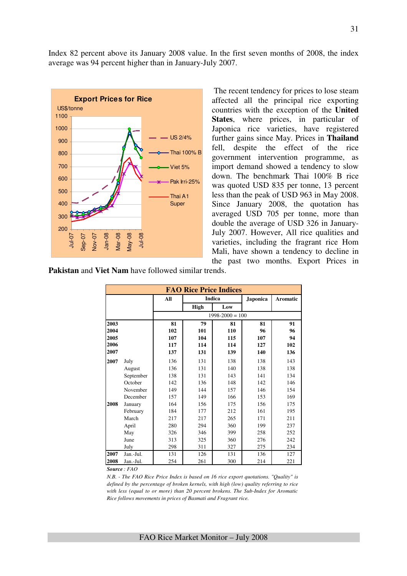Index 82 percent above its January 2008 value. In the first seven months of 2008, the index average was 94 percent higher than in January-July 2007.



 The recent tendency for prices to lose steam affected all the principal rice exporting countries with the exception of the **United States**, where prices, in particular of Japonica rice varieties, have registered further gains since May. Prices in **Thailand** fell, despite the effect of the rice government intervention programme, as import demand showed a tendency to slow down. The benchmark Thai 100% B rice was quoted USD 835 per tonne, 13 percent less than the peak of USD 963 in May 2008. Since January 2008, the quotation has averaged USD 705 per tonne, more than double the average of USD 326 in January-July 2007. However, All rice qualities and varieties, including the fragrant rice Hom Mali, have shown a tendency to decline in the past two months. Export Prices in

**Pakistan** and **Viet Nam** have followed similar trends.

|      | <b>FAO Rice Price Indices</b> |     |      |                     |                 |          |  |  |  |
|------|-------------------------------|-----|------|---------------------|-----------------|----------|--|--|--|
|      |                               | All |      | <b>Indica</b>       | <b>Japonica</b> | Aromatic |  |  |  |
|      |                               |     | High | Low                 |                 |          |  |  |  |
|      |                               |     |      | $1998 - 2000 = 100$ |                 |          |  |  |  |
| 2003 |                               | 81  | 79   | 81                  | 81              | 91       |  |  |  |
| 2004 |                               | 102 | 101  | 110                 | 96              | 96       |  |  |  |
| 2005 |                               | 107 | 104  | 115                 | 107             | 94       |  |  |  |
| 2006 |                               | 117 | 114  | 114                 | 127             | 102      |  |  |  |
| 2007 |                               | 137 | 131  | 139                 | 140             | 136      |  |  |  |
| 2007 | July                          | 136 | 131  | 138                 | 138             | 143      |  |  |  |
|      | August                        | 136 | 131  | 140                 | 138             | 138      |  |  |  |
|      | September                     | 138 | 131  | 143                 | 141             | 134      |  |  |  |
|      | October                       | 142 | 136  | 148                 | 142             | 146      |  |  |  |
|      | November                      | 149 | 144  | 157                 | 146             | 154      |  |  |  |
|      | December                      | 157 | 149  | 166                 | 153             | 169      |  |  |  |
| 2008 | January                       | 164 | 156  | 175                 | 156             | 175      |  |  |  |
|      | February                      | 184 | 177  | 212                 | 161             | 195      |  |  |  |
|      | March                         | 217 | 217  | 265                 | 171             | 211      |  |  |  |
|      | April                         | 280 | 294  | 360                 | 199             | 237      |  |  |  |
|      | May                           | 326 | 346  | 399                 | 258             | 252      |  |  |  |
|      | June                          | 313 | 325  | 360                 | 276             | 242      |  |  |  |
|      | July                          | 298 | 311  | 327                 | 275             | 234      |  |  |  |
| 2007 | Jan.-Jul.                     | 131 | 126  | 131                 | 136             | 127      |  |  |  |
| 2008 | Jan.-Jul.                     | 254 | 261  | 300                 | 214             | 221      |  |  |  |

*Source : FAO* 

*N.B. - The FAO Rice Price Index is based on 16 rice export quotations. "Quality" is defined by the percentage of broken kernels, with high (low) quality referring to rice with less (equal to or more) than 20 percent brokens. The Sub-Index for Aromatic Rice follows movements in prices of Basmati and Fragrant rice.*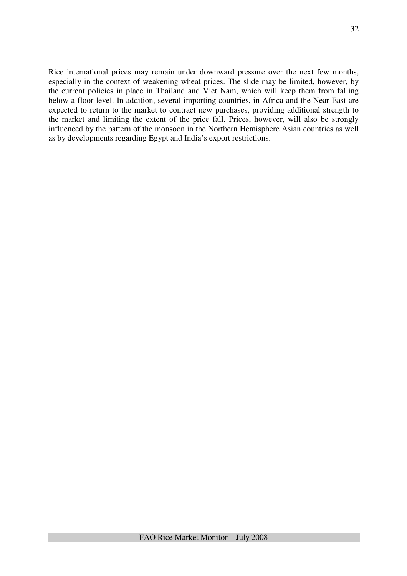Rice international prices may remain under downward pressure over the next few months, especially in the context of weakening wheat prices. The slide may be limited, however, by the current policies in place in Thailand and Viet Nam, which will keep them from falling below a floor level. In addition, several importing countries, in Africa and the Near East are expected to return to the market to contract new purchases, providing additional strength to the market and limiting the extent of the price fall. Prices, however, will also be strongly influenced by the pattern of the monsoon in the Northern Hemisphere Asian countries as well as by developments regarding Egypt and India's export restrictions.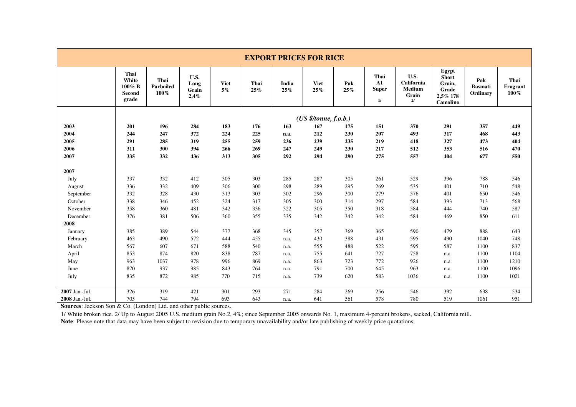|                | <b>EXPORT PRICES FOR RICE</b>                 |                           |                               |                      |             |              |                       |            |                                                    |                                             |                                                                  |                                   |                               |
|----------------|-----------------------------------------------|---------------------------|-------------------------------|----------------------|-------------|--------------|-----------------------|------------|----------------------------------------------------|---------------------------------------------|------------------------------------------------------------------|-----------------------------------|-------------------------------|
|                | Thai<br>White<br>$100\%$ B<br>Second<br>grade | Thai<br>Parboiled<br>100% | U.S.<br>Long<br>Grain<br>2,4% | <b>Viet</b><br>$5\%$ | Thai<br>25% | India<br>25% | <b>Viet</b><br>25%    | Pak<br>25% | Thai<br>${\bf A1}$<br><b>Super</b><br>$\mathbf{1}$ | U.S.<br>California<br>Medium<br>Grain<br>2l | Egypt<br><b>Short</b><br>Grain,<br>Grade<br>2,5% 178<br>Camolino | Pak<br><b>Basmati</b><br>Ordinary | Thai<br>Fragrant<br>$100\,\%$ |
|                |                                               |                           |                               |                      |             |              | (US \$/tonne, f.o.b.) |            |                                                    |                                             |                                                                  |                                   |                               |
| 2003           | 201                                           | 196                       | 284                           | 183                  | 176         | 163          | 167                   | 175        | 151                                                | 370                                         | 291                                                              | 357                               | 449                           |
| 2004           | 244                                           | 247                       | 372                           | 224                  | 225         | n.a.         | 212                   | 230        | 207                                                | 493                                         | 317                                                              | 468                               | 443                           |
| 2005           | 291                                           | 285                       | 319                           | 255                  | 259         | 236          | 239                   | 235        | 219                                                | 418                                         | 327                                                              | 473                               | 404                           |
| 2006           | 311                                           | 300                       | 394                           | 266                  | 269         | 247          | 249                   | 230        | 217                                                | 512                                         | 353                                                              | 516                               | 470                           |
| 2007           | 335                                           | 332                       | 436                           | 313                  | 305         | 292          | 294                   | 290        | 275                                                | 557                                         | 404                                                              | 677                               | 550                           |
| 2007           |                                               |                           |                               |                      |             |              |                       |            |                                                    |                                             |                                                                  |                                   |                               |
| July           | 337                                           | 332                       | 412                           | 305                  | 303         | 285          | 287                   | 305        | 261                                                | 529                                         | 396                                                              | 788                               | 546                           |
| August         | 336                                           | 332                       | 409                           | 306                  | 300         | 298          | 289                   | 295        | 269                                                | 535                                         | 401                                                              | 710                               | 548                           |
| September      | 332                                           | 328                       | 430                           | 313                  | 303         | 302          | 296                   | 300        | 279                                                | 576                                         | 401                                                              | 650                               | 546                           |
| October        | 338                                           | 346                       | 452                           | 324                  | 317         | 305          | 300                   | 314        | 297                                                | 584                                         | 393                                                              | 713                               | 568                           |
| November       | 358                                           | 360                       | 481                           | 342                  | 336         | 322          | 305                   | 350        | 318                                                | 584                                         | 444                                                              | 740                               | 587                           |
| December       | 376                                           | 381                       | 506                           | 360                  | 355         | 335          | 342                   | 342        | 342                                                | 584                                         | 469                                                              | 850                               | 611                           |
| 2008           |                                               |                           |                               |                      |             |              |                       |            |                                                    |                                             |                                                                  |                                   |                               |
| January        | 385                                           | 389                       | 544                           | 377                  | 368         | 345          | 357                   | 369        | 365                                                | 590                                         | 479                                                              | 888                               | 643                           |
| February       | 463                                           | 490                       | 572                           | 444                  | 455         | n.a.         | 430                   | 388        | 431                                                | 595                                         | 490                                                              | 1040                              | 748                           |
| March          | 567                                           | 607                       | 671                           | 588                  | 540         | n.a.         | 555                   | 488        | 522                                                | 595                                         | 587                                                              | 1100                              | 837                           |
| April          | 853                                           | 874                       | 820                           | 838                  | 787         | n.a.         | 755                   | 641        | 727                                                | 758                                         | n.a.                                                             | 1100                              | 1104                          |
| May            | 963                                           | 1037                      | 978                           | 996                  | 869         | n.a.         | 863                   | 723        | 772                                                | 926                                         | n.a.                                                             | 1100                              | 1210                          |
| June           | 870                                           | 937                       | 985                           | 843                  | 764         | n.a.         | 791                   | 700        | 645                                                | 963                                         | n.a.                                                             | 1100                              | 1096                          |
| July           | 835                                           | 872                       | 985                           | 770                  | 715         | n.a.         | 739                   | 620        | 583                                                | 1036                                        | n.a.                                                             | 1100                              | 1021                          |
| 2007 Jan.-Jul. | 326                                           | 319                       | 421                           | 301                  | 293         | 271          | 284                   | 269        | 256                                                | 546                                         | 392                                                              | 638                               | 534                           |
| 2008 Jan.-Jul. | 705                                           | 744                       | 794                           | 693                  | 643         | n.a.         | 641                   | 561        | 578                                                | 780                                         | 519                                                              | 1061                              | 951                           |

**Sources**: Jackson Son & Co. (London) Ltd. and other public sources.

1/ White broken rice. 2/ Up to August 2005 U.S. medium grain No.2, 4%; since September 2005 onwards No. 1, maximum 4-percent brokens, sacked, California mill.<br>Note: Please note that data may have been subject to revision d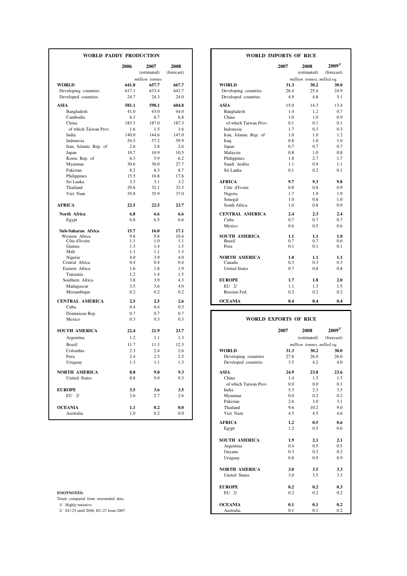| WORLD PADDY PRODUCTION                      |               |                     |                    |                                             | <b>WORLD IMPORTS OF RICE</b> |                            |                           |
|---------------------------------------------|---------------|---------------------|--------------------|---------------------------------------------|------------------------------|----------------------------|---------------------------|
|                                             | 2006          | 2007<br>(estimated) | 2008<br>(forecast) |                                             | 2007                         | 2008<br>(estimated)        | $2009^{1/}$<br>(forecast) |
|                                             |               | million tonnes      |                    |                                             |                              | million tonnes, milled eq. |                           |
| <b>WORLD</b>                                | 641.8         | 657.7               | 667.7              | <b>WORLD</b>                                | 31.3                         | 30.2                       | 30.0                      |
| Developing countries<br>Developed countries | 617.1<br>24.7 | 633.4<br>24.3       | 643.7<br>24.0      | Developing countries<br>Developed countries | 26.4<br>4.9                  | 25.4<br>4.8                | 24.9<br>5.1               |
| <b>ASIA</b>                                 | 581.1         | 598.1               | 604.8              | <b>ASIA</b>                                 | 15.0                         | 14.3                       | 13.4                      |
| Bangladesh                                  | 41.0          | 43.0                | 44.0               | Bangladesh                                  | 1.4                          | 1.2                        | 0.7                       |
| Cambodia                                    | 6.3           | 6.7                 | 6.8                | China                                       | 1.0                          | 1.0                        | 0.9                       |
| China                                       | 183.3         | 187.0               | 187.3              | of which Taiwan Prov.                       | 0.1                          | 0.1                        | 0.1                       |
| of which Taiwan Prov.                       | 1.6           | 1.5                 | 1.6                | Indonesia                                   | 1.7                          | 0.3                        | 0.3                       |
| India                                       | 140.0         | 144.6               | 147.0              | Iran, Islamic Rep. of                       | 1.0                          | 1.0                        | 1.2                       |
| Indonesia                                   | 54.5          | 57.2                | 59.9               | Iraq                                        | 0.8                          | 1.0                        | 1.0                       |
| Iran, Islamic Rep. of                       | 2.6           | 2.8                 | 2.6                | Japan                                       | 0.7                          | 0.7                        | 0.7                       |
| Japan                                       | 10.7          | 10.9                | 10.5               | Malaysia                                    | 0.8                          | 1.0                        | 0.8                       |
| Korea Rep. of                               | 6.3           | 5.9                 | 6.2                | Philippines                                 | 1.8                          | 2.7                        | 1.7                       |
| Myanmar                                     | 30.6          | 30.0                | 27.7               | Saudi Arabia                                | 1.1                          | 0.9                        | 1.1                       |
| Pakistan                                    | 8.2           | 8.3                 | 8.7                | Sri Lanka                                   | 0.1                          | 0.2                        | 0.1                       |
| Philippines                                 | 15.5          | 16.8                | 17.6               |                                             |                              |                            |                           |
| Sri Lanka                                   | 3.3           | 3.1                 | 3.2                | <b>AFRICA</b>                               | 9.7                          | 9.3                        | 9.8                       |
| Thailand                                    | 29.6          | 32.1                | 32.3               | Côte d'Ivoire                               | 0.8                          | 0.8                        | 0.9                       |
| Viet Nam                                    | 35.8          | 35.9                | 37.0               | Nigeria                                     | 1.7                          | 1.9                        | 1.9                       |
|                                             |               |                     |                    | Senegal                                     | 1.0                          | 0.8                        | 1.0                       |
| <b>AFRICA</b>                               | 22.5          | 22.5                | 23.7               | South Africa                                | 1.0                          | 0.8                        | 0.9                       |
| North Africa                                | 6.8           | 6.6                 | 6.6                | <b>CENTRAL AMERICA</b>                      | 2.4                          | 2.3                        | 2.4                       |
| Egypt                                       | 6.8           | 6.5                 | 6.6                | Cuba                                        | 0.7                          | 0.7                        | 0.7                       |
|                                             |               |                     |                    | Mexico                                      | 0.6                          | 0.5                        | 0.6                       |
| Sub-Saharan Africa                          | 15.7          | 16.0                | 17.1               |                                             |                              |                            |                           |
| Western Africa                              | 9.8           | 9.8                 | 10.4               | <b>SOUTH AMERICA</b>                        | 1.1                          | 1.1                        | 1.0                       |
| Côte d'Ivoire                               | 1.1           | 1.0                 | 1.1                | <b>Brazil</b>                               | 0.7                          | 0.7                        | 0.6                       |
| Guinea<br>Mali                              | 1.3<br>1.1    | 1.4<br>1.1          | 1.5<br>1.3         | Peru                                        | 0.1                          | 0.1                        | 0.1                       |
| Nigeria                                     | 4.0           | 3.9                 | 4.0                | <b>NORTH AMERICA</b>                        | 1.0                          | 1.1                        | 1.1                       |
| Central Africa                              | 0.4           | 0.4                 | 0.4                | Canada                                      | 0.3                          | 0.3                        | 0.3                       |
| Eastern Africa                              | 1.6           | 1.8                 | 1.9                | <b>United States</b>                        | 0.7                          | 0.8                        | 0.8                       |
| Tanzania                                    | 1.2           | 1.4                 | 1.5                |                                             |                              |                            |                           |
| Southern Africa                             | 3.8           | 3.9                 | 4.3                | <b>EUROPE</b>                               | 1.7                          | 1.8                        | 2.0                       |
| Madagascar                                  | 3.5           | 3.6                 | 4.0                | EU 2/                                       | 1.1                          | 1.3                        | 1.5                       |
| Mozambique                                  | 0.2           | 0.2                 | 0.2                | Russian Fed.                                | 0.2                          | 0.2                        | 0.2                       |
|                                             |               |                     |                    |                                             |                              |                            |                           |
| <b>CENTRAL AMERICA</b>                      | 2.5           | 2.5                 | 2.6                | <b>OCEANIA</b>                              | 0.4                          | 0.4                        | 0.4                       |
| Cuba                                        | 0.4           | 0.4                 | 0.5                |                                             |                              |                            |                           |
| Dominican Rep.                              | 0.7           | 0.7                 | 0.7                |                                             |                              |                            |                           |
| Mexico                                      | 0.3           | 0.3                 | 0.3                |                                             | <b>WORLD EXPORTS OF RICE</b> |                            |                           |
| <b>SOUTH AMERICA</b>                        | 22.4          | 21.9                | 23.7               |                                             | 2007                         | 2008                       | $2009^{1/}$               |
| Argentina                                   | 1.2           | 1.1                 | 1.3                |                                             |                              | (estimated)                | (forecast)                |
| <b>Brazil</b>                               | 11.7          | 11.3                | 12.3               |                                             |                              | million tonnes, milled eq. |                           |
| Colombia                                    | 2.3           | 2.4                 | 2.6                | <b>WORLD</b>                                | 31.3                         | 30.2                       | 30.0                      |
| Peru                                        | 2.4           | 2.5                 | 2.5                | Developing countries                        | 27.8                         | 26.0                       | 26.0                      |
| Uruguay                                     | 1.3           | 1.1                 | 1.3                | Developed countries                         | 3.5                          | 4.2                        | 4.0                       |
| <b>NORTH AMERICA</b>                        | 8.8           | 9.0                 | 9.3                | <b>ASIA</b>                                 | 24.9                         | 23.8                       | 23.6                      |
| United States                               | 8.8           | 9.0                 | 9.3                | China                                       | 1.4                          | 1.5                        | 1.5                       |
|                                             |               |                     |                    | of which Taiwan Prov.                       | 0.0                          | 0.0                        | 0.1                       |
| <b>EUROPE</b>                               | 3.5           | 3.6                 | 3.5                | India                                       | 5.3                          | 2.3                        | 3.5                       |
| EU 2/                                       | 2.6           | 2.7                 | 2.6                | Myanmar                                     | 0.0                          | 0.2                        | 0.2                       |
|                                             |               |                     |                    | Pakistan                                    | 2.6                          | 3.0                        | 3.1                       |
| <b>OCEANIA</b>                              | $1.1\,$       | 0.2                 | 0.0                | Thailand                                    | 9.6                          | 10.2                       | 9.0                       |
|                                             |               |                     |                    |                                             |                              |                            |                           |
| Australia                                   | 1.0           | 0.2                 | 0.0                | Viet Nam                                    | 4.5                          | 4.5                        | 4.6                       |

| FOOTNOTES |  |  |  |  |
|-----------|--|--|--|--|
|-----------|--|--|--|--|

| DY PRODUCTION |                |             | <b>WORLD IMPORTS OF RICE</b>          |                            |            |             |
|---------------|----------------|-------------|---------------------------------------|----------------------------|------------|-------------|
| 2006          | 2007           | 2008        |                                       | 2007                       | 2008       | $2009^{1/}$ |
|               | (estimated)    | (forecast)  |                                       | (estimated)<br>(forecast)  |            |             |
|               | million tonnes |             |                                       | million tonnes, milled eq. |            |             |
| 641.8         | 657.7          | 667.7       | <b>WORLD</b>                          | 31.3                       | 30.2       | 30.0        |
| 617.1         | 633.4          | 643.7       | Developing countries                  | 26.4                       | 25.4       | 24.9        |
| 24.7          | 24.3           | 24.0        | Developed countries                   | 4.9                        | 4.8        | 5.1         |
| 581.1         | 598.1          | 604.8       | <b>ASIA</b>                           | 15.0                       | 14.3       | 13.4        |
| 41.0          | 43.0           | 44.0        | Bangladesh                            | 1.4                        | 1.2        | 0.7         |
| 6.3           | 6.7            | 6.8         | China                                 | 1.0                        | 1.0        | 0.9         |
| 183.3         | 187.0          | 187.3       | of which Taiwan Prov.                 | 0.1                        | 0.1        | 0.1         |
| 1.6           | 1.5            | 1.6         | Indonesia                             | 1.7                        | 0.3        | 0.3         |
| 140.0         | 144.6          | 147.0       | Iran, Islamic Rep. of                 | 1.0                        | 1.0        | 1.2         |
| 54.5          | 57.2           | 59.9        | Iraq                                  | 0.8                        | 1.0        | 1.0         |
| 2.6           | 2.8            | 2.6         | Japan                                 | 0.7                        | 0.7        | 0.7         |
| 10.7          | 10.9           | 10.5        | Malaysia                              | 0.8                        | 1.0        | 0.8         |
| 6.3           | 5.9            | 6.2         | Philippines                           | 1.8                        | 2.7        | 1.7         |
| 30.6          | 30.0           | 27.7        | Saudi Arabia                          | 1.1                        | 0.9        | 1.1         |
| 8.2           | 8.3            | 8.7         | Sri Lanka                             | 0.1                        | 0.2        | 0.1         |
| 15.5          | 16.8           | 17.6        |                                       |                            |            |             |
| 3.3           | 3.1            | 3.2         | <b>AFRICA</b>                         | 9.7                        | 9.3        | 9.8         |
| 29.6          | 32.1           | 32.3        | Côte d'Ivoire                         | 0.8                        | 0.8        | 0.9         |
| 35.8          | 35.9           | 37.0        | Nigeria                               | 1.7                        | 1.9        | 1.9         |
|               |                |             | Senegal                               | 1.0                        | 0.8        | 1.0         |
| 22.5          | 22.5           | 23.7        | South Africa                          | 1.0                        | 0.8        | 0.9         |
| 6.8           | 6.6            | 6.6         | <b>CENTRAL AMERICA</b>                | 2.4                        | 2.3        | 2.4         |
| 6.8           | 6.5            | 6.6         | Cuba                                  | 0.7                        | 0.7        | 0.7         |
|               |                |             | Mexico                                | 0.6                        | 0.5        | 0.6         |
| 15.7          | 16.0           | 17.1        |                                       |                            |            |             |
| 9.8<br>1.1    | 9.8<br>1.0     | 10.4<br>1.1 | <b>SOUTH AMERICA</b><br><b>Brazil</b> | 1.1<br>0.7                 | 1.1<br>0.7 | 1.0<br>0.6  |
| 1.3           | 1.4            | 1.5         | Peru                                  | 0.1                        | 0.1        | 0.1         |
| 1.1           | 1.1            | 1.3         |                                       |                            |            |             |
| 4.0           | 3.9            | 4.0         | <b>NORTH AMERICA</b>                  | 1.0                        | 1.1        | 1.1         |
| 0.4           | 0.4            | 0.4         | Canada                                | 0.3                        | 0.3        | 0.3         |
| 1.6           | 1.8            | 1.9         | <b>United States</b>                  | 0.7                        | 0.8        | 0.8         |
| 1.2           | 1.4            | 1.5         |                                       |                            |            |             |
| 3.8           | 3.9            | 4.3         | <b>EUROPE</b>                         | 1.7                        | 1.8        | 2.0         |
| 3.5           | 3.6            | 4.0         | EU 2/                                 | 1.1                        | 1.3        | 1.5         |
| 0.2           | 0.2            | 0.2         | Russian Fed.                          | 0.2                        | 0.2        | 0.2         |
| 2.5           | 2.5            | 2.6         | <b>OCEANIA</b>                        | 0.4                        | 0.4        | 0.4         |
| 04            | 04             | 0.5         |                                       |                            |            |             |

#### **WORLD EXPORTS OF RICE**

| <b>SOUTH AMERICA</b>                  | 22.4 | 21.9 | 23.7 |                       | 2007 | 2008                       | $2009^{1/2}$ |
|---------------------------------------|------|------|------|-----------------------|------|----------------------------|--------------|
| Argentina                             | 1.2  | 1.1  | 1.3  |                       |      | (estimated)                | (forecast)   |
| Brazil                                | 11.7 | 11.3 | 12.3 |                       |      | million tonnes, milled eq. |              |
| Colombia                              | 2.3  | 2.4  | 2.6  | <b>WORLD</b>          | 31.3 | 30.2                       |              |
| Peru                                  | 2.4  | 2.5  | 2.5  | Developing countries  | 27.8 | 26.0                       |              |
| Uruguay                               | 1.3  | 1.1  | 1.3  | Developed countries   | 3.5  | 4.2                        |              |
| NORTH AMERICA                         | 8.8  | 9.0  | 9.3  | <b>ASIA</b>           | 24.9 | 23.8                       |              |
| <b>United States</b>                  | 8.8  | 9.0  | 9.3  | China                 | 1.4  | 1.5                        |              |
|                                       |      |      |      | of which Taiwan Prov. | 0.0  | 0.0                        |              |
| <b>EUROPE</b>                         | 3.5  | 3.6  | 3.5  | India                 | 5.3  | 2.3                        |              |
| EU 2/                                 | 2.6  | 2.7  | 2.6  | Myanmar               | 0.0  | 0.2                        |              |
|                                       |      |      |      | Pakistan              | 2.6  | 3.0                        |              |
| <b>OCEANIA</b>                        | 1.1  | 0.2  | 0.0  | Thailand              | 9.6  | 10.2                       |              |
| Australia                             | 1.0  | 0.2  | 0.0  | Viet Nam              | 4.5  | 4.5                        |              |
|                                       |      |      |      | <b>AFRICA</b>         | 1.2  | 0.5                        |              |
|                                       |      |      |      | Egypt                 | 1.2  | 0.5                        |              |
|                                       |      |      |      | <b>SOUTH AMERICA</b>  | 1.9  | 2.1                        |              |
|                                       |      |      |      | Argentina             | 0.4  | 0.5                        |              |
|                                       |      |      |      | Guyana                | 0.3  | 0.2                        |              |
|                                       |      |      |      | Uruguay               | 0.8  | 0.9                        |              |
|                                       |      |      |      | <b>NORTH AMERICA</b>  | 3.0  | 3.5                        |              |
|                                       |      |      |      | <b>United States</b>  | 3.0  | 3.5                        |              |
|                                       |      |      |      | <b>EUROPE</b>         | 0.2  | 0.2                        |              |
| <b>FOOTNOTES:</b>                     |      |      |      | EU 2/                 | 0.2  | 0.2                        |              |
| Totals computed from unrounded data.  |      |      |      |                       |      |                            |              |
| 1/ Highly tentative.                  |      |      |      | <b>OCEANIA</b>        | 0.1  | 0.1                        |              |
| 2/ EU-25 until 2006, EU-27 from 2007. |      |      |      | Australia             | 0.1  | 0.1                        |              |